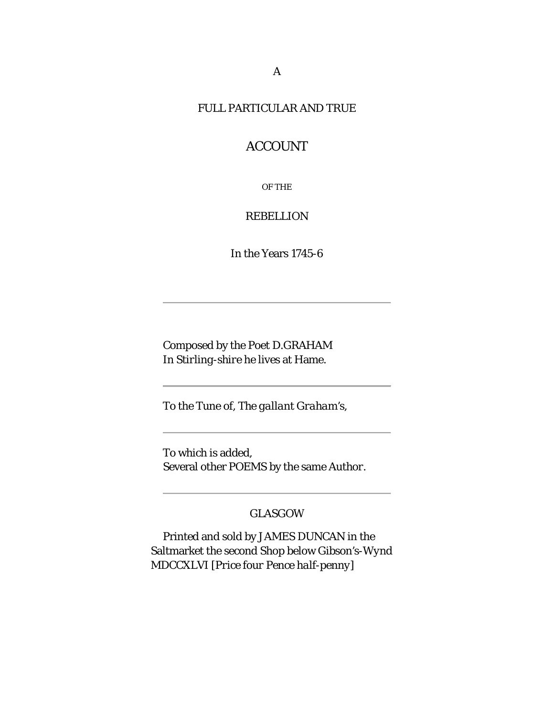#### FULL PARTICULAR AND TRUE

# ACCOUNT

OF THE

#### REBELLION

In the Years 1745-6

Composed by the Poet D.GRAHAM In *Stirling-shire* he lives at Hame.

To the Tune of, *The gallant Graham's*,

To which is added, Several other POEMS by the same *Author*.

### *GLASGOW*

Printed and sold by JAMES DUNCAN in the Saltmarket the second Shop below *Gibson's-Wynd* MDCCXLVI [*Price four Pence half-penny*]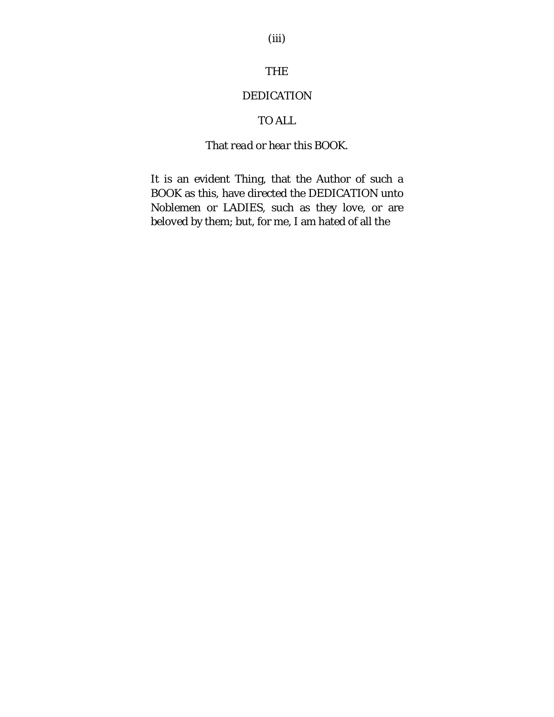### THE

### DEDICATION

## TO ALL

## That *read* or *hear* this BOOK.

It is an evident Thing, that the Author of such a BOOK as this, have directed the DEDICATION unto Noblemen or LADIES, such as they *love*, or are *beloved* by them; but, for me, I am hated of all the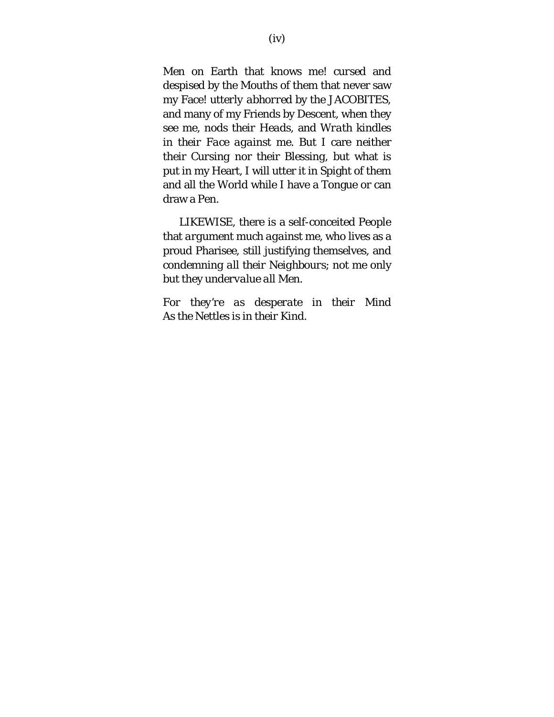Men on Earth that knows me! *cursed* and *despised* by the Mouths of them that never saw my Face! *utterly abhorred* by the JACOBITES, and many of my Friends by Descent, when they see me, *nods their Heads*, and *Wrath kindles in their Face against me*. But I care neither their *Cursing* nor their *Blessing*, but what is put in my Heart, I will utter it in Spight of them and all the World while I have a Tongue or can draw a Pen.

LIKEWISE, there is a self-conceited People that *argument much against me*, who lives as a proud Pharisee, still justifying themselves, and *condemning all their Neighbours*; not me only but they *undervalue all Men*.

*For they're as desperate in their Mind As the* Nettles *is in their Kind.*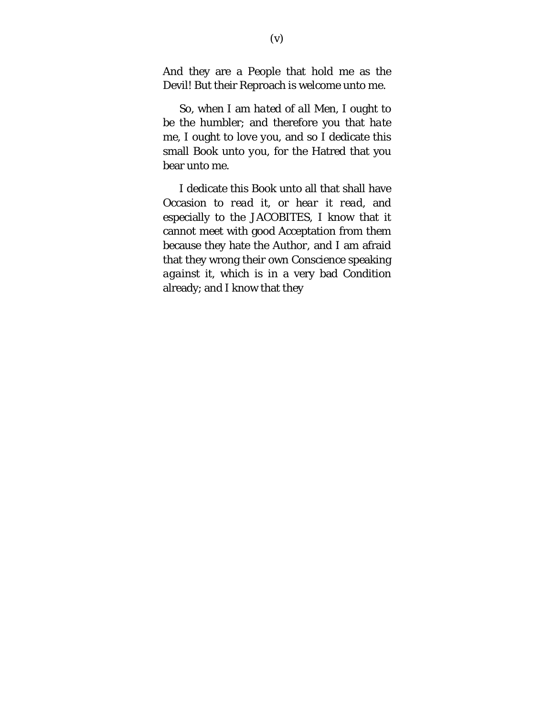And they are a People that hold me as the Devil! But their Reproach is welcome unto me.

So, when I am *hated of all Men*, I ought to be the humbler; and therefore you that *hate me*, I ought to *love you*, and so I dedicate this small Book *unto you*, for the Hatred that you bear *unto me*.

I dedicate this Book unto all that shall have Occasion to *read it*, or *hear it read*, and especially to the JACOBITES, I know that it cannot meet with good Acceptation from them because they hate the *Author*, and I am afraid that they wrong their own Conscience speaking *against* it, which is in a very bad Condition already; and I know that they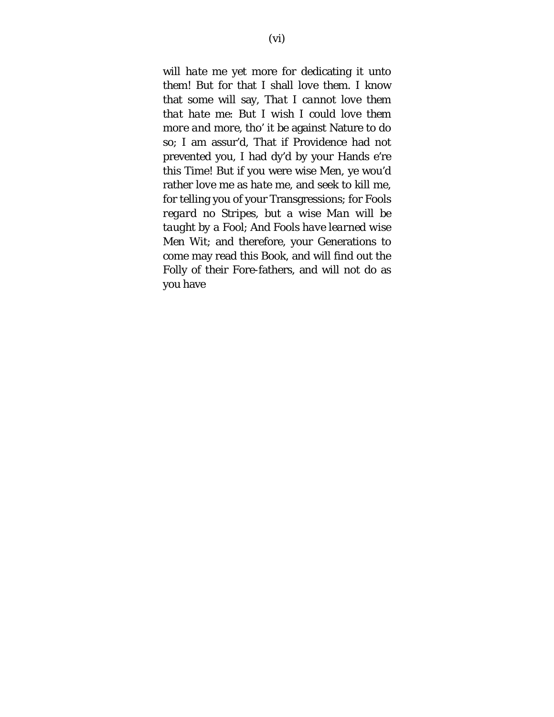will *hate* me yet more for dedicating it *unto them*! But for that I shall *love them*. I know that some will say, *That I cannot love them that hate me*: But *I wish I could love them more and more*, tho' it be against Nature to do so; I am assur'd, That if Providence had not prevented you, I had dy'd by your Hands e're this Time! But if you were wise Men, ye wou'd rather *love* me as *hate* me, and seek to *kill* me, for telling you of your Transgressions; for *Fools regard no Stripes*, but a *wise Man will be taught by a Fool*; And *Fools have learned wise Men Wit*; and therefore, your Generations to come may read this Book, and will find out the Folly of their Fore-fathers, and will not *do* as you have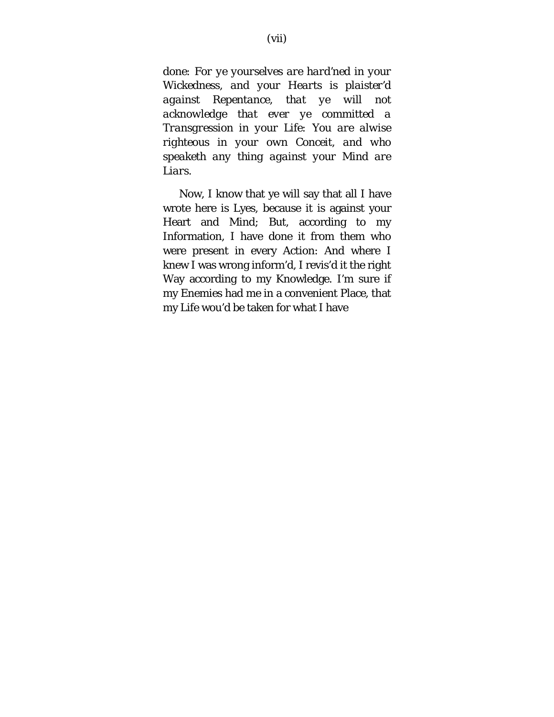*done: For ye yourselves are hard'ned in your Wickedness, and your Hearts is plaister'd against Repentance, that ye will not acknowledge that ever ye committed a Transgression in your Life: You are alwise righteous in your own Conceit, and who speaketh any thing against your Mind are Liars.*

Now, I know that ye will say that all I have wrote here is Lyes, because it is against your Heart and Mind; But, according to my Information, I have done it from them who were present in every *Action*: And where I knew I was wrong inform'd, I revis'd it the right Way according to my Knowledge. I'm sure if my Enemies had me in a convenient Place, that my Life wou'd be taken for what I have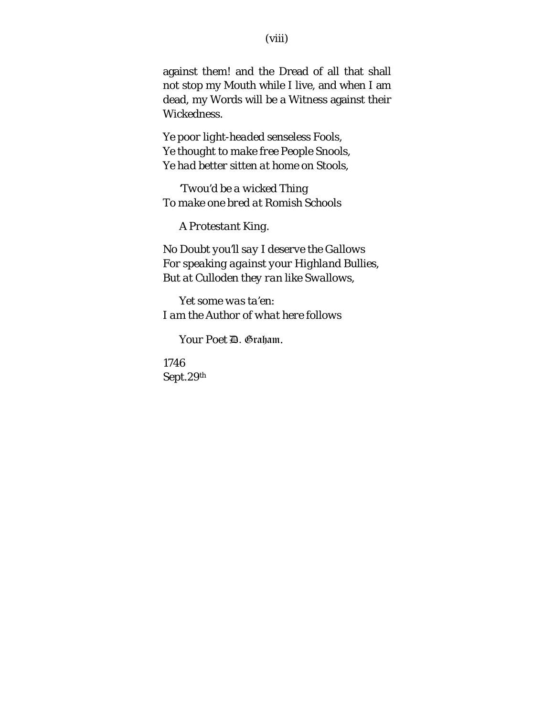against them! and the Dread of all that shall not stop my Mouth while I live, and when I am dead, my Words will be a Witness against their Wickedness.

*Ye poor light-headed senseless Fools, Ye thought to make free People Snools, Ye had better sitten at home on Stools,*

*'Twou'd be a wicked Thing To make one bred at Romish Schools*

*A Protestant King.*

*No Doubt you'll say I deserve the Gallows For speaking against your Highland Bullies, But at Culloden they ran like Swallows,*

*Yet some was ta'en: I am the Author of what here follows*

*Your Poet* D. Graham*.*

*1746 Sept.29th*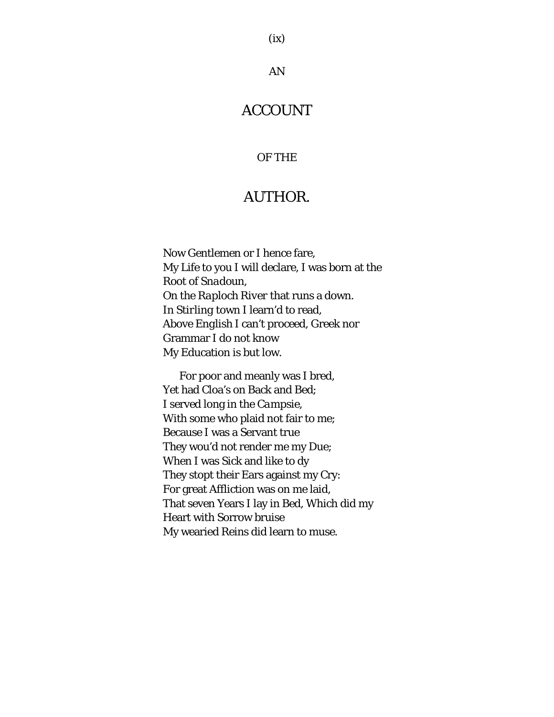### AN

# ACCOUNT

#### OF THE

# AUTHOR.

Now Gentlemen or I hence fare, My Life to you I will declare, I was born at the Root of *Snadoun*, On the *Raploch River* that runs a down. In *Stirling* town I learn'd to read, Above *English* I can't proceed, Greek nor Grammar I do not know My Education is but low.

For poor and meanly was I bred, Yet had Cloa's on Back and Bed; I served long in the *Campsie*, With some who plaid not fair to me; Because I was a Servant true They wou'd not render me my Due; When I was Sick and like to dy They stopt their Ears against my Cry: For great Affliction was on me laid, That seven Years I lay in Bed, Which did my Heart with Sorrow bruise My wearied Reins did learn to muse.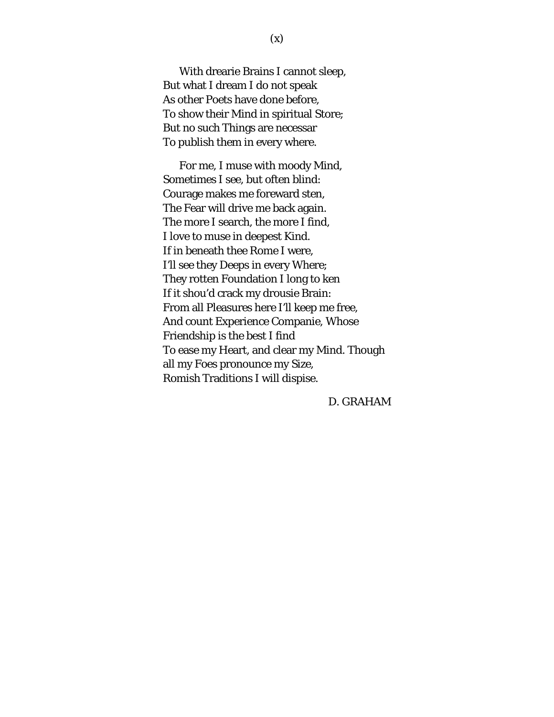With drearie Brains I cannot sleep, But what I dream I do not speak As other Poets have done before, To show their Mind in spiritual Store; But no such Things are necessar To publish them in every where.

For me, I muse with moody Mind, Sometimes I see, but often blind: Courage makes me foreward sten, The Fear will drive me back again. The more I search, the more I find, I love to muse in deepest Kind. If in beneath thee *Rome* I were, I'll see they Deeps in every Where; They rotten Foundation I long to ken If it shou'd crack my drousie Brain: From all Pleasures here I'll keep me free, And count Experience Companie, Whose Friendship is the best I find To ease my Heart, and clear my Mind. Though all my Foes pronounce my Size, *Romish* Traditions I will dispise.

D. GRAHAM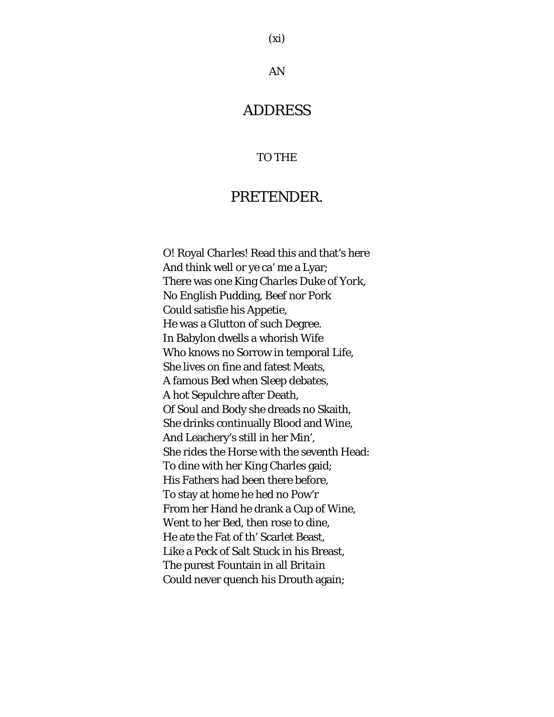#### AN

# ADDRESS

#### TO THE

# PRETENDER.

O! Royal *Charles*! Read this and that's here And think well or ye ca' me a Lyar; There was one King *Charles* Duke of *York*, No *English* Pudding, Beef nor Pork Could satisfie his Appetie, He was a Glutton of such Degree. In Babylon dwells a whorish Wife Who knows no Sorrow in temporal Life, She lives on fine and fatest Meats, A famous Bed when Sleep debates, A hot Sepulchre after Death, Of Soul and Body she dreads no Skaith, She drinks continually Blood and Wine, And Leachery's still in her Min', She rides the Horse with the seventh Head: To dine with her King Charles gaid; His Fathers had been there before, To stay at home he hed no Pow'r From her Hand he drank a Cup of Wine, Went to her Bed, then rose to dine, He ate the Fat of th' Scarlet Beast, Like a Peck of Salt Stuck in his Breast, The purest Fountain in all *Britain* Could never quench his Drouth again;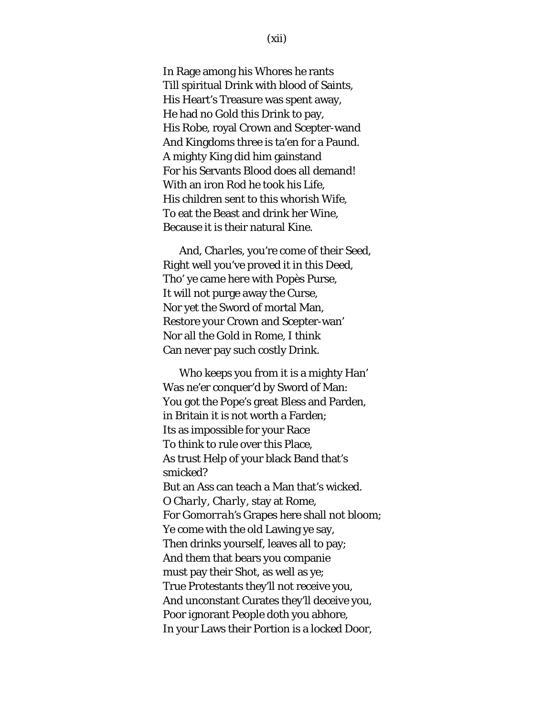In Rage among his Whores he rants Till spiritual Drink with blood of Saints, His Heart's Treasure was spent away, He had no Gold this Drink to pay, His Robe, royal Crown and Scepter-wand And Kingdoms three is ta'en for a Paund. A mighty King did him gainstand For his Servants Blood does all demand! With an iron Rod he took his Life, His children sent to this whorish Wife, To eat the Beast and drink her Wine, Because it is their natural Kine.

And, *Charles*, you're come of their Seed, Right well you've proved it in this Deed, Tho' ye came here with Popès Purse, It will not purge away the Curse, Nor yet the Sword of mortal Man, Restore your Crown and Scepter-wan' Nor all the Gold in Rome, I think Can never pay such costly Drink.

Who keeps you from it is a mighty Han' Was ne'er conquer'd by Sword of Man: You got the Pope's great Bless and Parden, in Britain it is not worth a Farden; Its as impossible for your Race To think to rule over this Place, As trust Help of your black Band that's smicked? But an Ass can teach a Man that's wicked. O *Charly, Charly*, stay at *Rome*, For *Gomorrah's* Grapes here shall not bloom; Ye come with the old Lawing ye say, Then drinks yourself, leaves all to pay; And them that bears you companie must pay their Shot, as well as ye; True Protestants they'll not receive you, And unconstant Curates they'll deceive you, Poor ignorant People doth you abhore, In your Laws their Portion is a locked Door,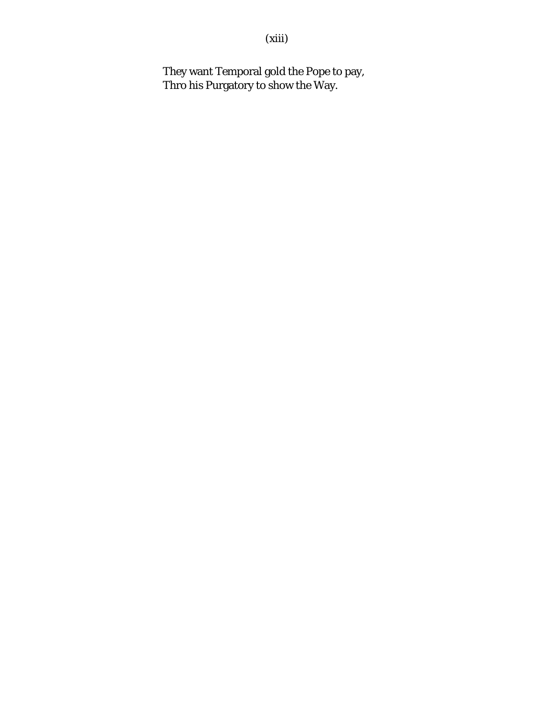(xiii)

They want Temporal gold the Pope to pay, Thro his Purgatory to show the Way.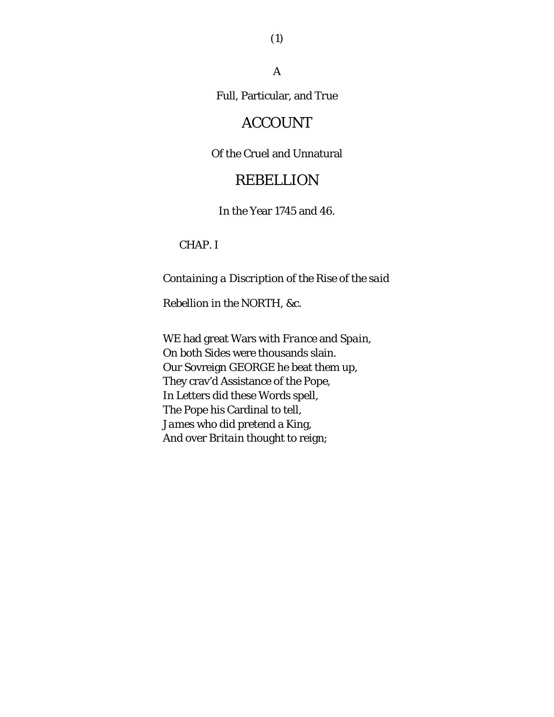A

Full, Particular, and True

# ACCOUNT

#### Of the Cruel and Unnatural

# REBELLION

In the Year 1745 and 46.

### CHAP. I

*Containing a Discription of the Rise of the said* 

*Rebellion in the NORTH, &c.*

WE had great Wars with *France* and *Spain*, On both Sides were thousands slain. Our Sovreign GEORGE he beat them up, They crav'd Assistance of the *Pope*, In Letters did these Words spell, The Pope his Cardinal to tell, *James* who did pretend a King, And over *Britain* thought to reign;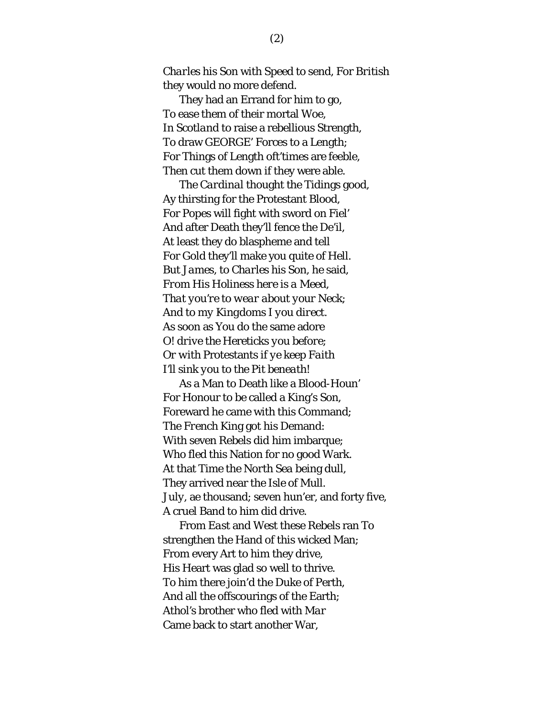*Charles* his Son with Speed to send, For *British* they would no more defend.

They had an Errand for him to go, To ease them of their mortal Woe, In *Scotland* to raise a rebellious Strength, To draw GEORGE' Forces to a Length; For Things of Length oft'times are feeble, Then cut them down if they were able.

The *Cardinal* thought the Tidings good, Ay thirsting for the Protestant Blood, For *Popes* will fight with sword on Fiel' And after Death they'll fence the De'il, At least they do blaspheme and tell For Gold they'll make you quite of Hell. But *James*, to *Charles* his Son, he said, *From His Holiness here is a Meed, That you're to wear about your Neck; And to my Kingdoms I you direct.* As soon as You do the same adore *O! drive the* Hereticks *you before; Or with* Protestants *if ye keep Faith I'll sink you to the Pit beneath!*

As a Man to Death like a Blood-Houn' For Honour to be called a King's Son, Foreward he came with this Command; The *French* King got his Demand: With seven Rebels did him imbarque; Who fled this Nation for no good Wark. At that Time the *North Sea* being dull, They arrived near the *Isle of Mull*. *July*, ae thousand; seven hun'er, and forty five, A cruel Band to him did drive.

From *East* and *West* these Rebels ran To strengthen the Hand of this wicked Man; From every Art to him they drive, His Heart was glad so well to thrive. To him there join'd the Duke of Perth, And all the offscourings of the Earth; *Athol's* brother who fled with *Mar* Came back to start another War,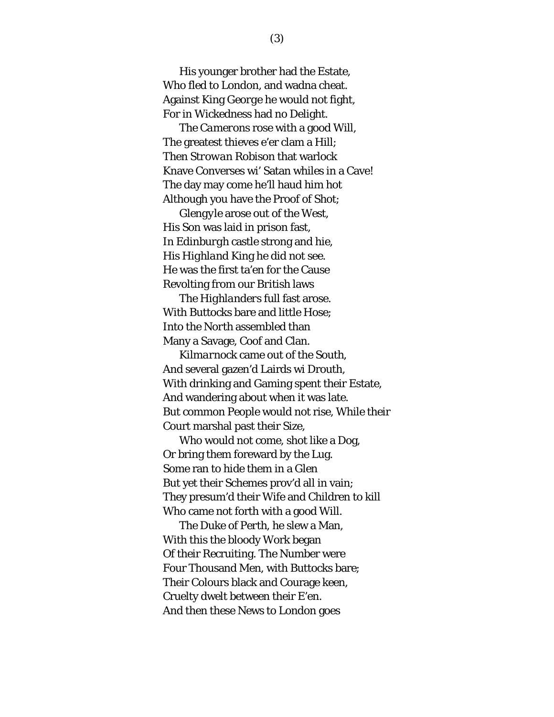His younger brother had the Estate, Who fled to *London*, and wadna cheat. Against King *George* he would not fight, For in Wickedness had no Delight.

The *Camerons* rose with a good Will, The greatest thieves e'er clam a Hill; Then *Strowan Robison* that warlock Knave Converses wi' Satan whiles in a Cave! The day may come he'll haud him hot Although you have the Proof of Shot;

*Glengyle* arose out of the *West*, His Son was laid in prison fast, In *Edinburgh* castle strong and hie, His *Highland* King he did not see. He was the first ta'en for the Cause Revolting from our *British* laws

The *Highlanders* full fast arose. With Buttocks bare and little Hose; Into the *North* assembled than Many a Savage, Coof and Clan.

*Kilmarnock* came out of the *South*, And several gazen'd Lairds wi Drouth, With drinking and Gaming spent their Estate, And wandering about when it was late. But common People would not rise, While their Court marshal past their Size,

Who would not come, shot like a Dog, Or bring them foreward by the Lug. Some ran to hide them in a Glen But yet their Schemes prov'd all in vain; They presum'd their Wife and Children to kill Who came not forth with a good Will.

The Duke of *Perth*, he slew a Man, With this the bloody Work began Of their Recruiting. The Number were Four Thousand Men, with Buttocks bare; Their Colours black and Courage keen, Cruelty dwelt between their E'en. And then these News to *London* goes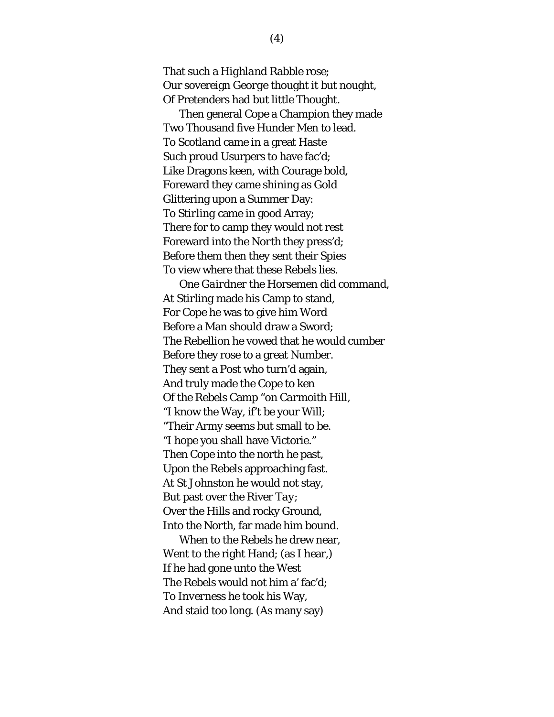That such a *Highland* Rabble rose; Our sovereign *George* thought it but nought, Of Pretenders had but little Thought.

Then general *Cope* a Champion they made Two Thousand five Hunder Men to lead. To *Scotland* came in a great Haste Such proud Usurpers to have fac'd; Like Dragons keen, with Courage bold, Foreward they came shining as Gold Glittering upon a Summer Day: To *Stirling* came in good Array; There for to camp they would not rest Foreward into the *North* they press'd; Before them then they sent their Spies To view where that these Rebels lies.

One *Gairdner* the Horsemen did command, At *Stirling* made his Camp to stand, For *Cope* he was to give him Word Before a Man should draw a Sword; The Rebellion he vowed that he would cumber Before they rose to a great Number. They sent a Post who turn'd again, And truly made the Cope to ken Of the Rebels Camp "on *Carmoith* Hill, "I know the Way, if't be your Will; "Their Army seems but small to be. "I hope you shall have Victorie." Then *Cope* into the north he past, Upon the Rebels approaching fast. At *St Johnston* he would not stay, But past over the River *Tay*; Over the Hills and rocky Ground, Into the *North*, far made him bound. When to the Rebels he drew near,

Went to the right Hand; (as I hear,) If he had gone unto the *West* The Rebels would not him a' fac'd; To *Inverness* he took his Way, And staid too long. (As many say)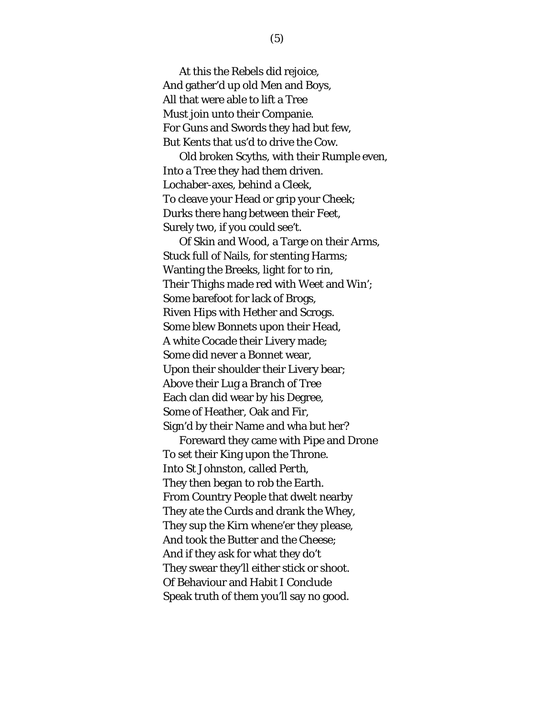At this the Rebels did rejoice, And gather'd up old Men and Boys, All that were able to lift a Tree Must join unto their Companie. For Guns and Swords they had but few, But Kents that us'd to drive the Cow.

Old broken Scyths, with their Rumple even, Into a Tree they had them driven. Lochaber-axes, behind a Cleek, To cleave your Head or grip your Cheek; Durks there hang between their Feet, Surely two, if you could see't.

Of Skin and Wood, a Targe on their Arms, Stuck full of Nails, for stenting Harms; Wanting the Breeks, light for to rin, Their Thighs made red with Weet and Win'; Some barefoot for lack of Brogs, Riven Hips with Hether and Scrogs. Some blew Bonnets upon their Head, A white Cocade their Livery made; Some did never a Bonnet wear, Upon their shoulder their Livery bear; Above their Lug a Branch of Tree Each clan did wear by his Degree, Some of Heather, Oak and Fir, Sign'd by their Name and wha but her?

Foreward they came with Pipe and Drone To set their King upon the Throne. Into *St Johnston*, called *Perth*, They then began to rob the Earth. From Country People that dwelt nearby They ate the Curds and drank the Whey, They sup the Kirn whene'er they please, And took the Butter and the Cheese; And if they ask for what they do't They swear they'll either stick or shoot. Of Behaviour and Habit I Conclude Speak truth of them you'll say no good.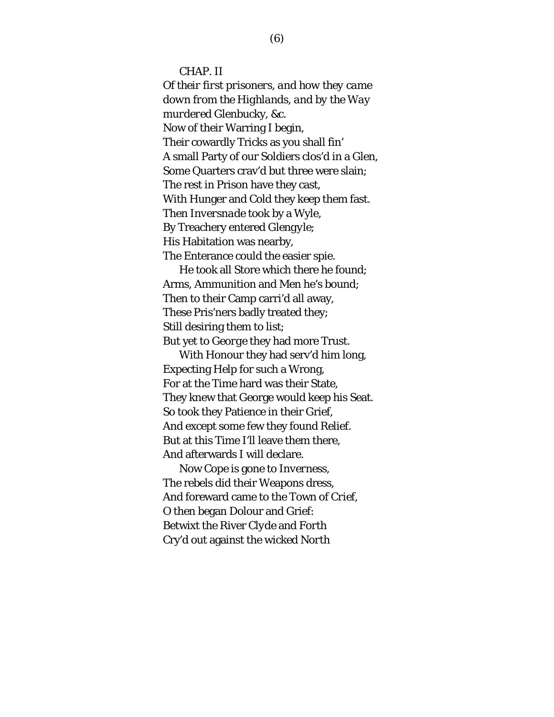CHAP. II

*Of their first prisoners, and how they came down from the Highlands, and by the Way murdered* Glenbucky*, &c.* Now of their Warring I begin, Their cowardly Tricks as you shall fin' A small Party of our Soldiers clos'd in a Glen, Some Quarters crav'd but three were slain; The rest in Prison have they cast, With Hunger and Cold they keep them fast. Then *Inversnade* took by a Wyle, By Treachery entered *Glengyle*; His Habitation was nearby, The Enterance could the easier spie.

He took all Store which there he found; Arms, Ammunition and Men he's bound; Then to their Camp carri'd all away, These Pris'ners badly treated they; Still desiring them to list; But yet to *George* they had more Trust.

With Honour they had serv'd him long, Expecting Help for such a Wrong, For at the Time hard was their State, They knew that George would keep his Seat. So took they Patience in their Grief, And except some few they found Relief. But at this Time I'll leave them there, And afterwards I will declare.

Now *Cope* is gone to *Inverness*, The rebels did their Weapons dress, And foreward came to the Town of *Crief*, O then began Dolour and Grief: Betwixt the River *Clyde* and *Forth* Cry'd out against the wicked *North*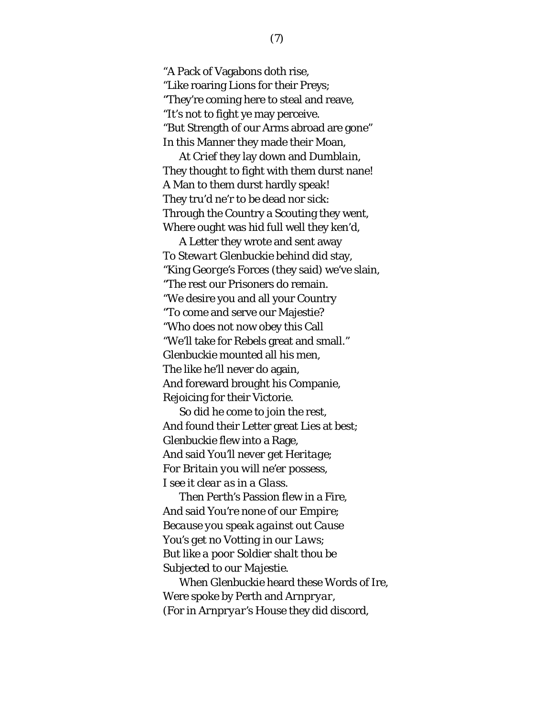"A Pack of Vagabons doth rise, "Like roaring Lions for their Preys; "They're coming here to steal and reave, "It's not to fight ye may perceive. "But Strength of our Arms abroad are gone" In this Manner they made their Moan,

At *Crief* they lay down and *Dumblain*, They thought to fight with them durst nane! A Man to them durst hardly speak! They tru'd ne'r to be dead nor sick: Through the Country a Scouting they went, Where ought was hid full well they ken'd,

A Letter they wrote and sent away To *Stewart Glenbuckie* behind did stay, "King *George's* Forces (they said) we've slain, "The rest our Prisoners do remain. "We desire you and all your Country "To come and serve our Majestie? "Who does not now obey this Call "We'll take for Rebels great and small." *Glenbuckie* mounted all his men, The like he'll never do again, And foreward brought his Companie, Rejoicing for their Victorie.

So did he come to join the rest, And found their Letter great Lies at best; *Glenbuckie* flew into a Rage, And said *You'll never get Heritage; For Britain you will ne'er possess, I see it clear as in a Glass.*

Then *Perth's* Passion flew in a Fire, And said *You're none of our Empire; Because you speak against out Cause You's get no Votting in our Laws; But like a poor Soldier shalt thou be Subjected to our Majestie.*

When *Glenbuckie* heard these Words of Ire, Were spoke by Perth and *Arnpryar*, (For in *Arnpryar's* House they did discord,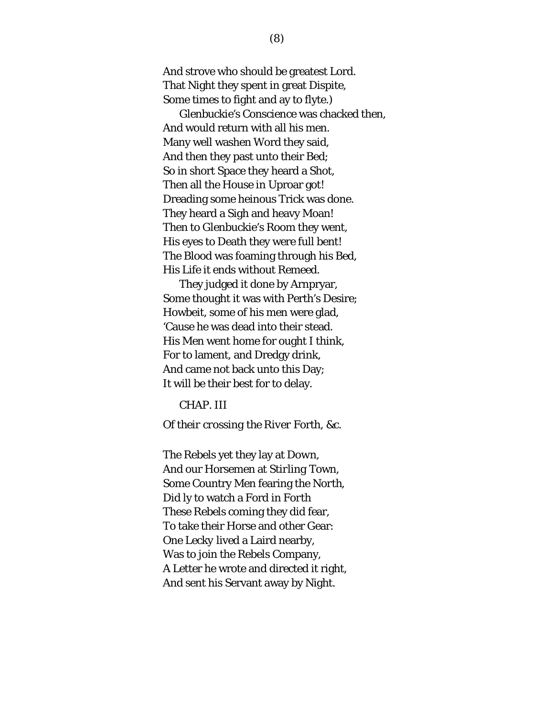And strove who should be greatest Lord. That Night they spent in great Dispite, Some times to fight and ay to flyte.)

*Glenbuckie's* Conscience was chacked then, And would return with all his men. Many well washen Word they said, And then they past unto their Bed; So in short Space they heard a Shot, Then all the House in Uproar got! Dreading some heinous Trick was done. They heard a Sigh and heavy Moan! Then to Glenbuckie's Room they went, His eyes to Death they were full bent! The Blood was foaming through his Bed, His Life it ends without Remeed.

They judged it done by Arnpryar, Some thought it was with Perth's Desire; Howbeit, some of his men were glad, 'Cause he was dead into their stead. His Men went home for ought I think, For to lament, and Dredgy drink, And came not back unto this Day; It will be their best for to delay.

CHAP. III

*Of their crossing the River* Forth*, &c.*

The Rebels yet they lay at *Down*, And our Horsemen at *Stirling* Town, Some Country Men fearing the *North*, Did ly to watch a Ford in *Forth* These Rebels coming they did fear, To take their Horse and other Gear: One *Lecky* lived a Laird nearby, Was to join the Rebels Company, A Letter he wrote and directed it right, And sent his Servant away by Night.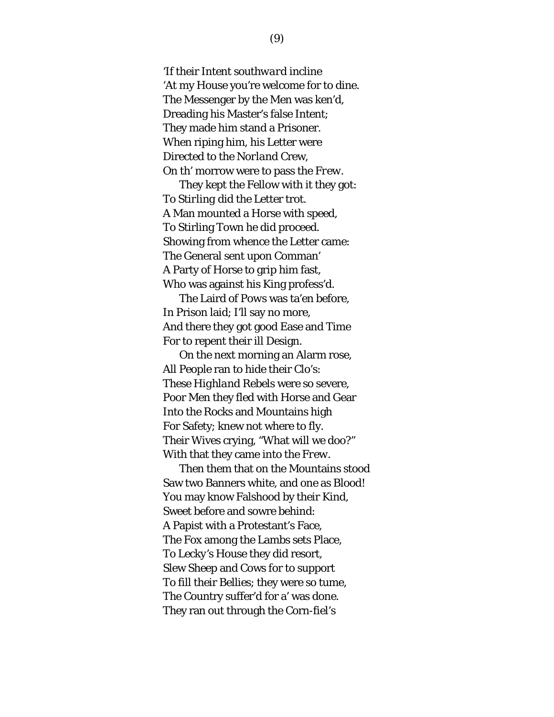'If their Intent *southward* incline 'At my House you're welcome for to dine. The Messenger by the Men was ken'd, Dreading his Master's false Intent; They made him stand a Prisoner. When riping him, his Letter were Directed to the *Norland* Crew, On th' morrow were to pass the *Frew*.

They kept the Fellow with it they got: To *Stirling* did the Letter trot. A Man mounted a Horse with speed, To Stirling Town he did proceed. Showing from whence the Letter came: The General sent upon Comman' A Party of Horse to grip him fast, Who was against his King profess'd.

The Laird of *Pows* was ta'en before, In Prison laid; I'll say no more, And there they got good Ease and Time For to repent their ill Design.

On the next morning an Alarm rose, All People ran to hide their Clo's: These *Highland* Rebels were so severe, Poor Men they fled with Horse and Gear Into the Rocks and Mountains high For Safety; knew not where to fly. Their Wives crying, "What will we doo?" With that they came into the *Frew*.

Then them that on the Mountains stood Saw two Banners white, and one as Blood! You may know Falshood by their Kind, Sweet before and sowre behind: A Papist with a Protestant's Face, The Fox among the Lambs sets Place, To *Lecky's* House they did resort, Slew Sheep and Cows for to support To fill their Bellies; they were so tume, The Country suffer'd for a' was done. They ran out through the Corn-fiel's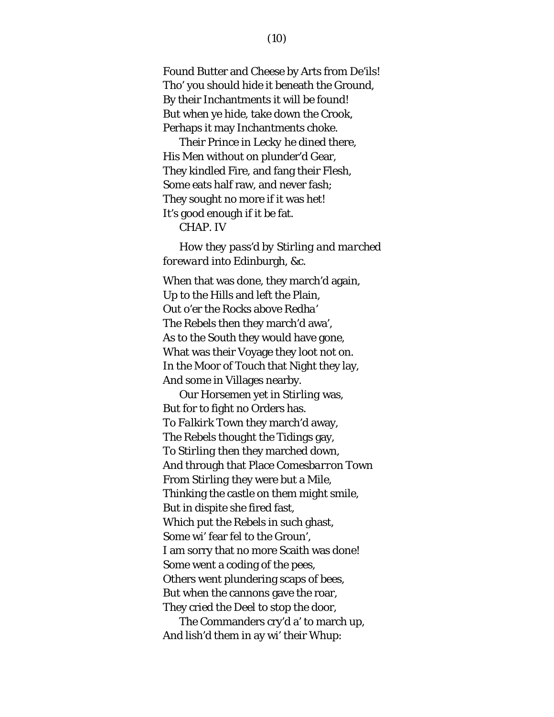Found Butter and Cheese by Arts from De'ils! Tho' you should hide it beneath the Ground, By their Inchantments it will be found! But when ye hide, take down the Crook, Perhaps it may Inchantments choke.

Their Prince in *Lecky* he dined there, His Men without on plunder'd Gear, They kindled Fire, and fang their Flesh, Some eats half raw, and never fash; They sought no more if it was het! It's good enough if it be fat.

CHAP. IV

*How they pass'd by Stirling and marched foreward into* Edinburgh*, &c.*

When that was done, they march'd again, Up to the Hills and left the Plain, Out o'er the Rocks above *Redha'* The Rebels then they march'd awa', As to the *South* they would have gone, What was their Voyage they loot not on. In the Moor of *Touch* that Night they lay, And some in Villages nearby.

Our Horsemen yet in *Stirling* was, But for to fight no Orders has. To *Falkirk* Town they march'd away, The Rebels thought the Tidings gay, To *Stirling* then they marched down, And through that Place *Comesbarron* Town From *Stirling* they were but a Mile, Thinking the castle on them might smile, But in dispite she fired fast, Which put the Rebels in such ghast, Some wi' fear fel to the Groun', I am sorry that no more Scaith was done! Some went a coding of the pees, Others went plundering scaps of bees, But when the cannons gave the roar, They cried the Deel to stop the door,

The Commanders cry'd a' to march up, And lish'd them in ay wi' their Whup: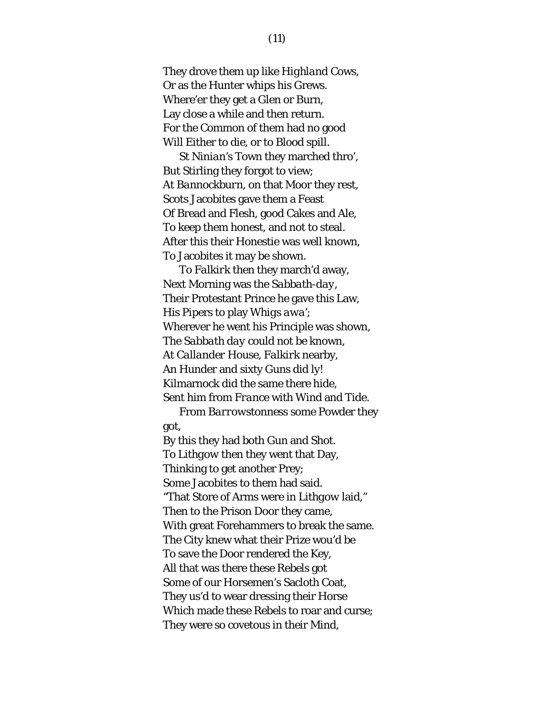They drove them up like *Highland* Cows, Or as the Hunter whips his Grews. Where'er they get a Glen or Burn, Lay close a while and then return. For the Common of them had no good Will Either to die, or to Blood spill.

*St Ninian's* Town they marched thro', But Stirling they forgot to view; At *Bannockburn*, on that Moor they rest, Scots Jacobites gave them a Feast Of Bread and Flesh, good Cakes and Ale, To keep them honest, and not to steal. After this their Honestie was well known, To Jacobites it may be shown.

To *Falkirk* then they march'd away, Next Morning was the *Sabbath-day*, Their Protestant Prince he gave this Law, His Pipers to play *Whigs awa'*; Wherever he went his Principle was shown, The *Sabbath day* could not be known, At *Callander* House, *Falkirk* nearby, An Hunder and sixty Guns did ly! Kilmarnock did the same there hide, Sent him from *France* with Wind and Tide.

From *Barrowstonness* some Powder they got,

By this they had both Gun and Shot. To *Lithgow* then they went that Day, Thinking to get another Prey; Some Jacobites to them had said. "That Store of Arms were in *Lithgow* laid," Then to the Prison Door they came, With great Forehammers to break the same. The City knew what their Prize wou'd be To save the Door rendered the Key, All that was there these Rebels got Some of our Horsemen's Sacloth Coat, They us'd to wear dressing their Horse Which made these Rebels to roar and curse; They were so covetous in their Mind,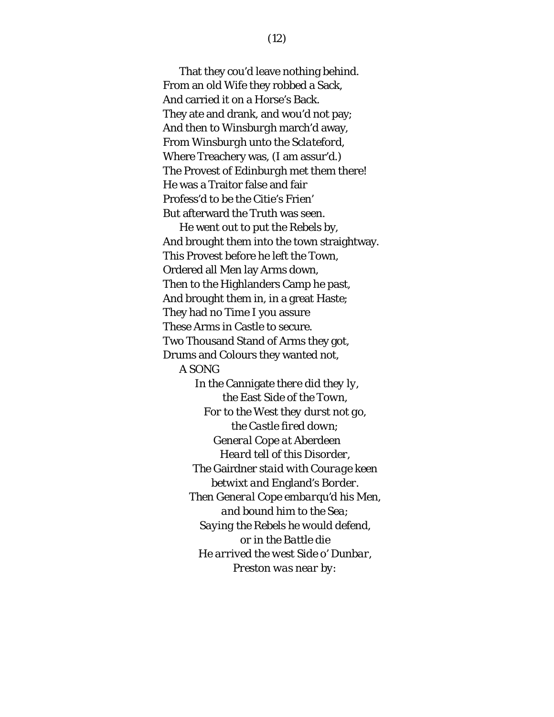That they cou'd leave nothing behind. From an old Wife they robbed a Sack, And carried it on a Horse's Back. They ate and drank, and wou'd not pay; And then to *Winsburgh* march'd away, From *Winsburgh* unto the *Sclateford*, Where Treachery was, (I am assur'd.) The Provest of *Edinburgh* met them there! He was a Traitor false and fair Profess'd to be the Citie's Frien' But afterward the Truth was seen.

He went out to put the Rebels by, And brought them into the town straightway. This Provest before he left the Town, Ordered all Men lay Arms down, Then to the Highlanders Camp he past, And brought them in, in a great Haste; They had no Time I you assure These Arms in Castle to secure. Two Thousand Stand of Arms they got, Drums and Colours they wanted not, A SONG *In the* Cannigate *there did they ly,* 

*the* East *Side of the Town, For to the* West *they durst not go, the Castle fired down; General* Cope *at* Aberdeen *Heard tell of this Disorder, The* Gairdner *staid with Courage keen betwixt and* England's *Border. Then General* Cope *embarqu'd his Men, and bound him to the Sea; Saying the Rebels he would defend, or in the Battle die He arrived the west Side o' Dunbar, Preston was near by:*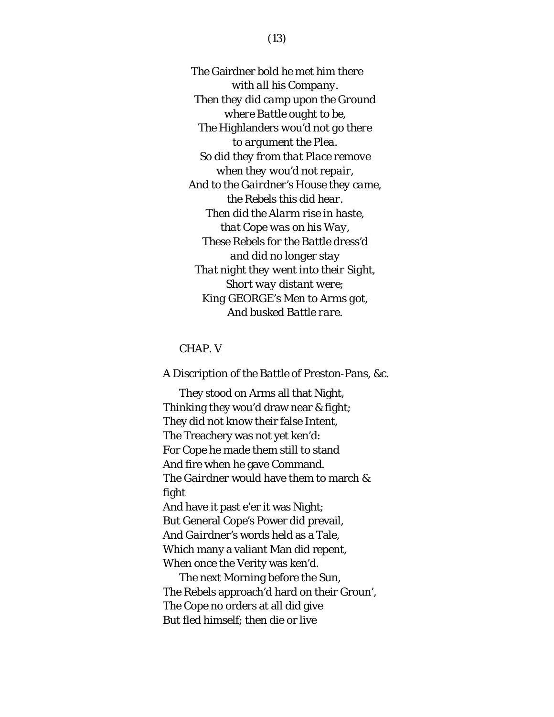*The* Gairdner *bold he met him there with all his Company. Then they did camp upon the Ground where Battle ought to be, The* Highlanders *wou'd not go there to argument the Plea. So did they from that Place remove when they wou'd not repair, And to the Gairdner's House they came, the Rebels this did hear. Then did the Alarm rise in haste, that* Cope *was on his Way, These Rebels for the Battle dress'd and did no longer stay That night they went into their Sight, Short way distant were; King* GEORGE's *Men to Arms got, And busked Battle rare.*

#### CHAP. V

#### *A Discription of the Battle of* Preston-Pans*, &c.*

They stood on Arms all that Night, Thinking they wou'd draw near & fight; They did not know their false Intent, The Treachery was not yet ken'd: For *Cope* he made them still to stand And fire when he gave Command. The *Gairdner* would have them to march & fight And have it past e'er it was Night; But General *Cope's* Power did prevail, And *Gairdner's* words held as a Tale, Which many a valiant Man did repent, When once the Verity was ken'd.

The next Morning before the Sun, The Rebels approach'd hard on their Groun', The *Cope* no orders at all did give But fled himself; then die or live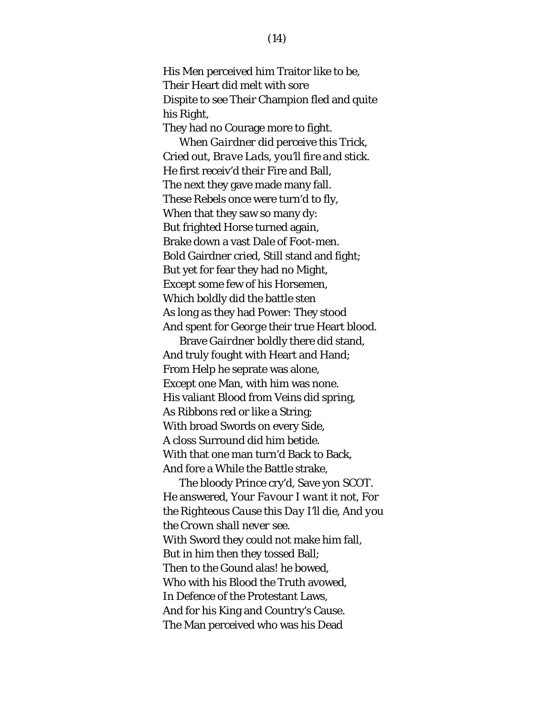His Men perceived him Traitor like to be, Their Heart did melt with sore Dispite to see Their Champion fled and quite his Right,

They had no Courage more to fight.

When *Gairdner* did perceive this Trick, Cried out, *Brave Lads, you'll fire and stick*. He first receiv'd their Fire and Ball, The next they gave made many fall. These Rebels once were turn'd to fly, When that they saw so many dy: But frighted Horse turned again, Brake down a vast Dale of Foot-men. Bold Gairdner cried, Still stand and fight; But yet for fear they had no Might, Except some few of his Horsemen, Which boldly did the battle sten As long as they had Power: They stood And spent for *George* their true Heart blood.

Brave *Gairdner* boldly there did stand, And truly fought with Heart and Hand; From Help he seprate was alone, Except one Man, with him was none. His valiant Blood from Veins did spring, As Ribbons red or like a String; With broad Swords on every Side, A closs Surround did him betide. With that one man turn'd Back to Back, And fore a While the Battle strake,

The bloody Prince cry'd, Save yon SCOT. He answered, *Your Favour I want it not, For the Righteous Cause this Day I'll die, And you the Crown shall never see.* With Sword they could not make him fall, But in him then they tossed Ball; Then to the Gound alas! he bowed, Who with his Blood the Truth avowed, In Defence of the Protestant Laws, And for his King and Country's Cause. The Man perceived who was his Dead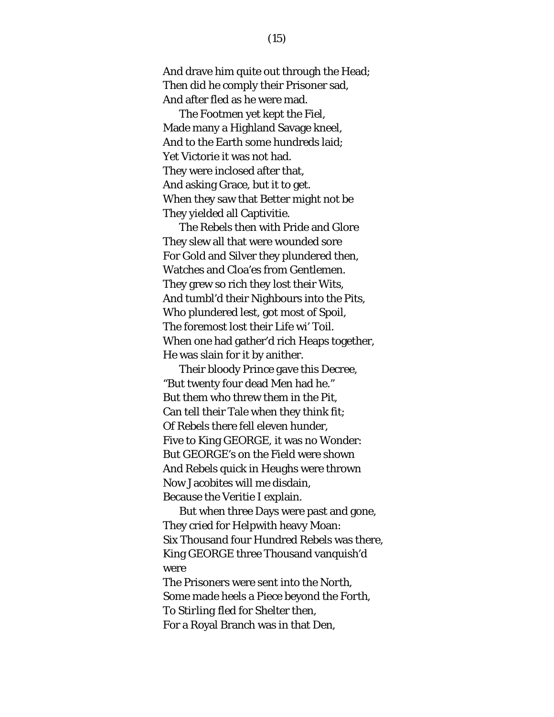And drave him quite out through the Head; Then did he comply their Prisoner sad, And after fled as he were mad.

The Footmen yet kept the Fiel, Made many a Highland Savage kneel, And to the Earth some hundreds laid; Yet Victorie it was not had. They were inclosed after that, And asking Grace, but it to get. When they saw that Better might not be They yielded all Captivitie.

The Rebels then with Pride and Glore They slew all that were wounded sore For Gold and Silver they plundered then, Watches and Cloa'es from Gentlemen. They grew so rich they lost their Wits, And tumbl'd their Nighbours into the Pits, Who plundered lest, got most of Spoil, The foremost lost their Life wi' Toil. When one had gather'd rich Heaps together, He was slain for it by anither.

Their bloody Prince gave this Decree, "But twenty four dead Men had he." But them who threw them in the Pit, Can tell their Tale when they think fit; Of Rebels there fell eleven hunder, Five to King GEORGE, it was no Wonder: But GEORGE's on the Field were shown And Rebels quick in Heughs were thrown Now Jacobites will me disdain, Because the Veritie I explain.

But when three Days were past and gone, They cried for Helpwith heavy Moan: Six Thousand four Hundred Rebels was there, King GEORGE three Thousand vanquish'd were The Prisoners were sent into the *North*, Some made heels a Piece beyond the *Forth*, To *Stirling* fled for Shelter then,

For a Royal Branch was in that Den,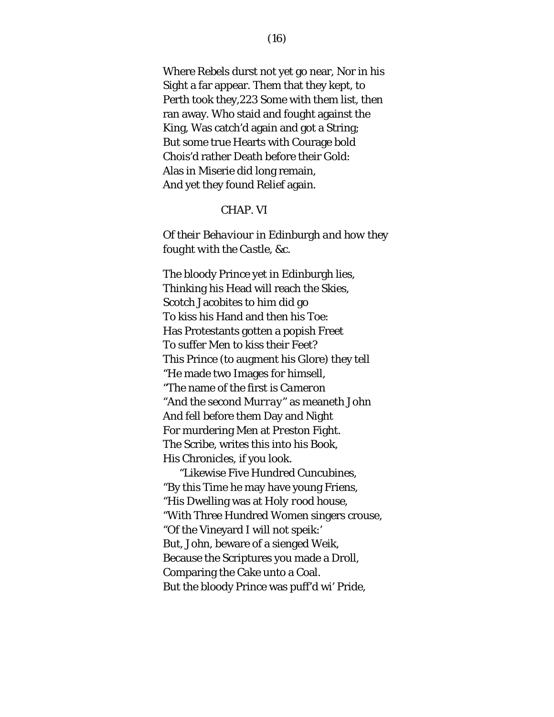Where Rebels durst not yet go near, Nor in his Sight a far appear. Them that they kept, to Perth took they,223 Some with them list, then ran away. Who staid and fought against the King, Was catch'd again and got a String; But some true Hearts with Courage bold Chois'd rather Death before their Gold: Alas in Miserie did long remain, And yet they found Relief again.

#### *CHAP. VI*

### *Of their Behaviour in* Edinburgh *and how they fought with the Castle, &c.*

The bloody Prince yet in Edinburgh lies, Thinking his Head will reach the Skies, Scotch Jacobites to him did go To kiss his Hand and then his Toe: Has Protestants gotten a popish Freet To suffer Men to kiss their Feet? This Prince (to augment his Glore) they tell "He made two Images for himsell, "The name of the first is *Cameron* "And the second *Murray*" as meaneth John And fell before them Day and Night For murdering Men at *Preston* Fight. The Scribe, writes this into his Book, His Chronicles, if you look.

"Likewise Five Hundred Cuncubines, "By this Time he may have young Friens, "His Dwelling was at *Holy rood house*, "With Three Hundred Women singers crouse, "Of the Vineyard I will not speik:' But, *John*, beware of a sienged Weik, Because the Scriptures you made a Droll, Comparing the Cake unto a Coal. But the bloody Prince was puff'd wi' Pride,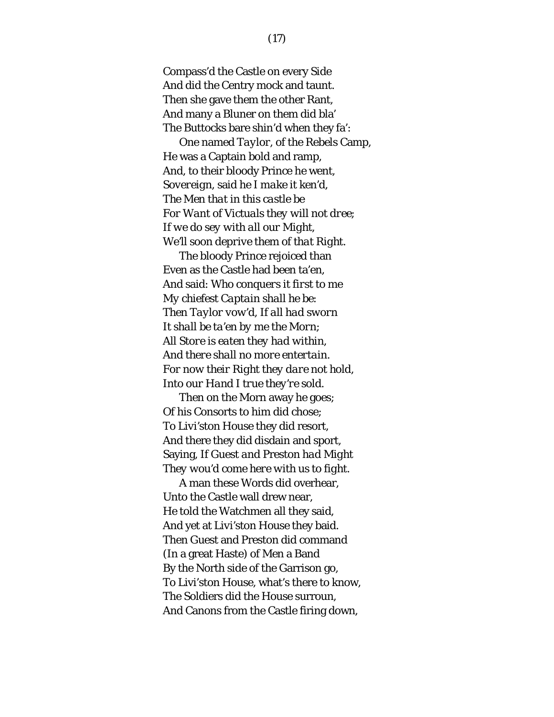Compass'd the Castle on every Side And did the Centry mock and taunt. Then she gave them the other Rant, And many a Bluner on them did bla' The Buttocks bare shin'd when they fa':

One named *Taylor*, of the Rebels Camp, He was a Captain bold and ramp, And, to their bloody Prince he went, *Sovereign*, said he *I make it ken'd, The Men that in this castle be For Want of Victuals they will not dree; If we do sey with all our Might, We'll soon deprive them of that Right.*

The bloody Prince rejoiced than Even as the Castle had been ta'en, And said: *Who conquers it first to me My chiefest Captain shall he be: Then Taylor vow'd, If all had sworn It shall be ta'en by me the Morn; All Store is eaten they had within, And there shall no more entertain. For now their Right they dare not hold, Into our Hand I true they're sold.*

Then on the Morn away he goes; Of his Consorts to him did chose; To *Livi'ston Hou*se they did resort, And there they did disdain and sport, Saying, *If* Guest *and* Preston *had Might They wou'd come here with us to fight.*

A man these Words did overhear, Unto the Castle wall drew near, He told the Watchmen all they said, And yet at *Livi'ston House* they baid. Then Guest and Preston did command (In a great Haste) of Men a Band By the North side of the Garrison go, To Livi'ston House, what's there to know, The Soldiers did the House surroun, And Canons from the Castle firing down,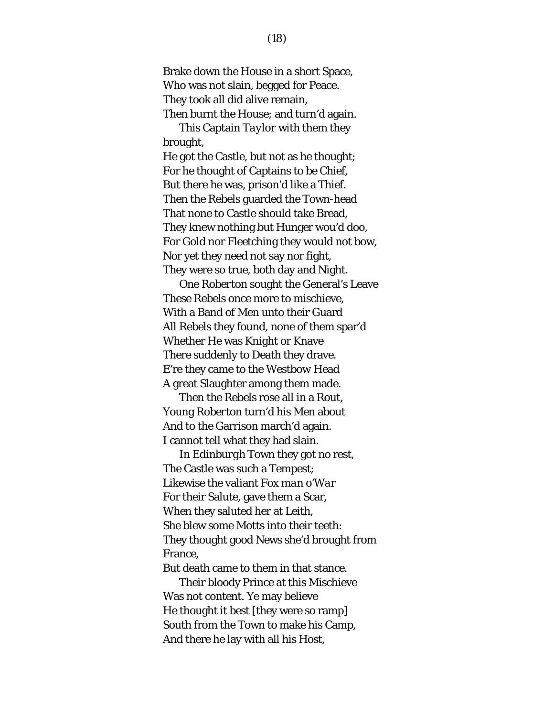Brake down the House in a short Space, Who was not slain, begged for Peace. They took all did alive remain, Then burnt the House; and turn'd again.

This Captain *Taylor* with them they brought,

He got the Castle, but not as he thought; For he thought of Captains to be Chief, But there he was, prison'd like a Thief. Then the Rebels guarded the Town-head That none to Castle should take Bread, They knew nothing but Hunger wou'd doo, For Gold nor Fleetching they would not bow, Nor yet they need not say nor fight, They were so true, both day and Night.

One *Roberton* sought the General's Leave These Rebels once more to mischieve, With a Band of Men unto their Guard All Rebels they found, none of them spar'd Whether He was Knight or Knave There suddenly to Death they drave. E're they came to the *Westbow* Head A great Slaughter among them made.

Then the Rebels rose all in a Rout, Young *Roberton* turn'd his Men about And to the Garrison march'd again. I cannot tell what they had slain.

In *Edinburgh* Town they got no rest, The Castle was such a Tempest; Likewise the valiant *Fox man o'War* For their Salute, gave them a Scar, When they saluted her at Leith, She blew some Motts into their teeth: They thought good News she'd brought from France,

But death came to them in that stance.

Their bloody Prince at this Mischieve Was not content. Ye may believe He thought it best [they were so ramp] South from the Town to make his Camp, And there he lay with all his Host,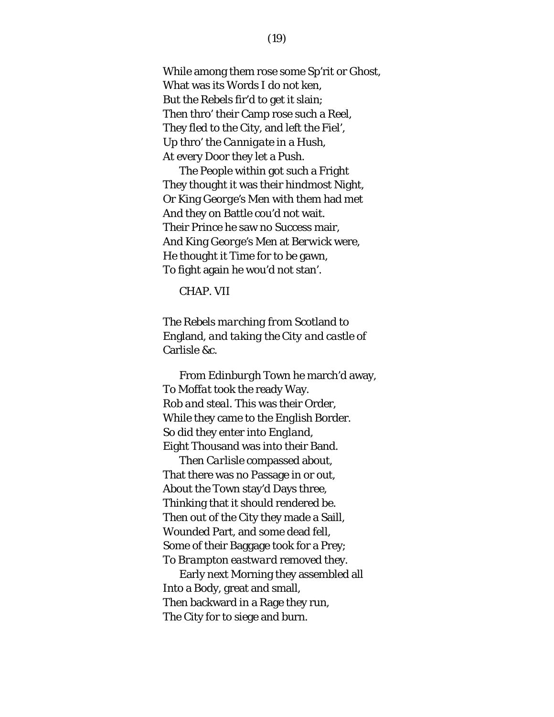While among them rose some Sp'rit or Ghost, What was its Words I do not ken, But the Rebels fir'd to get it slain; Then thro' their Camp rose such a Reel, They fled to the City, and left the Fiel', Up thro' the *Cannigate* in a Hush, At every Door they let a Push.

The People within got such a Fright They thought it was their hindmost Night, Or King *George's* Men with them had met And they on Battle cou'd not wait. Their Prince he saw no Success mair, And King *George's* Men at *Berwick* were, He thought it Time for to be gawn, To fight again he wou'd not stan'.

CHAP. VII

*The Rebels marching from* Scotland *to*  England*, and taking the City and castle of*  Carlisle *&c.*

From *Edinburgh* Town he march'd away, To *Moffat* took the ready Way. *Rob and steal*. This was their Order, While they came to the *English* Border. So did they enter into *England*, Eight Thousand was into their Band.

Then *Carlisle* compassed about, That there was no Passage in or out, About the Town stay'd Days three, Thinking that it should rendered be. Then out of the City they made a Saill, Wounded Part, and some dead fell, Some of their Baggage took for a Prey; To *Brampton eastward* removed they.

Early next Morning they assembled all Into a Body, great and small, Then backward in a Rage they run, The City for to siege and burn.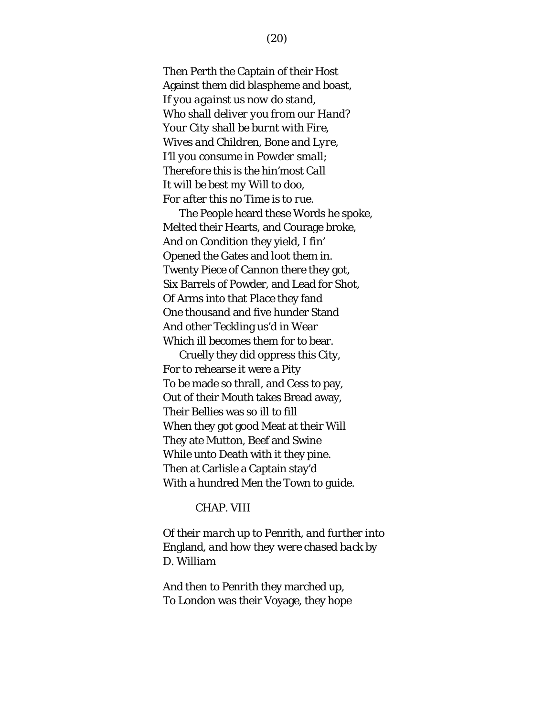Then *Perth* the Captain of their Host Against them did blaspheme and boast, *If you against us now do stand, Who shall deliver you from our Hand? Your City shall be burnt with Fire, Wives and Children, Bone and Lyre, I'll you consume in Powder small; Therefore this is the hin'most Call It will be best my Will to doo, For after this no Time is to rue.*

The People heard these Words he spoke, Melted their Hearts, and Courage broke, And on Condition they yield, I fin' Opened the Gates and loot them in. Twenty Piece of Cannon there they got, Six Barrels of Powder, and Lead for Shot, Of Arms into that Place they fand One thousand and five hunder Stand And other Teckling us'd in Wear Which ill becomes them for to bear.

Cruelly they did oppress this City, For to rehearse it were a Pity To be made so thrall, and Cess to pay, Out of their Mouth takes Bread away, Their Bellies was so ill to fill When they got good Meat at their Will They ate Mutton, Beef and Swine While unto Death with it they pine. Then at Carlisle a Captain stay'd With a hundred Men the Town to guide.

#### CHAP. VIII

*Of their march up to* Penrith*, and further into*  England*, and how they were chased back by*  D. Wil*liam*

And then to *Penrith* they marched up, To London was their Voyage, they hope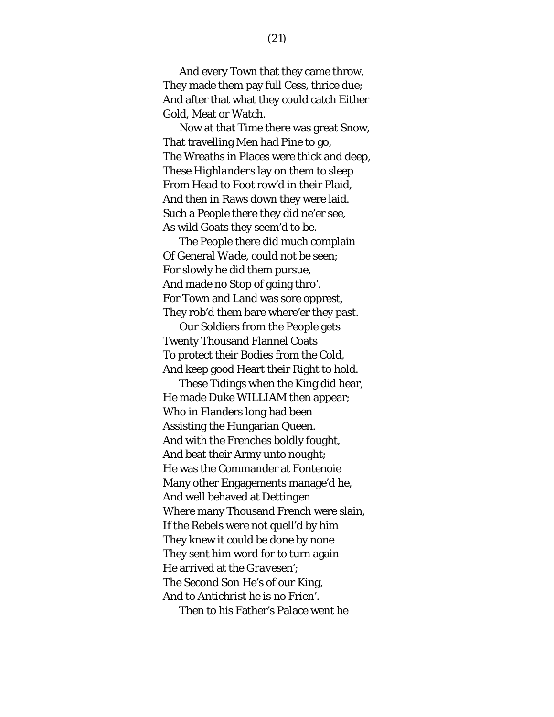And every Town that they came throw, They made them pay full Cess, thrice due; And after that what they could catch Either Gold, Meat or Watch.

Now at that Time there was great Snow, That travelling Men had Pine to go, The Wreaths in Places were thick and deep, These *Highlanders* lay on them to sleep From Head to Foot row'd in their Plaid, And then in Raws down they were laid. Such a People there they did ne'er see, As wild Goats they seem'd to be.

The People there did much complain Of General *Wade*, could not be seen; For slowly he did them pursue, And made no Stop of going thro'. For Town and Land was sore opprest, They rob'd them bare where'er they past.

Our Soldiers from the People gets Twenty Thousand Flannel Coats To protect their Bodies from the Cold, And keep good Heart their Right to hold.

These Tidings when the King did hear, He made Duke WILLIAM then appear; Who in Flanders long had been Assisting the Hungarian Queen. And with the Frenches boldly fought, And beat their Army unto nought; He was the Commander at *Fontenoie* Many other Engagements manage'd he, And well behaved at *Dettingen* Where many Thousand French were slain, If the Rebels were not quell'd by him They knew it could be done by none They sent him word for to turn again He arrived at the *Gravesen'*; The Second Son He's of our King, And to *Antichrist* he is no Frien'.

Then to his Father's Palace went he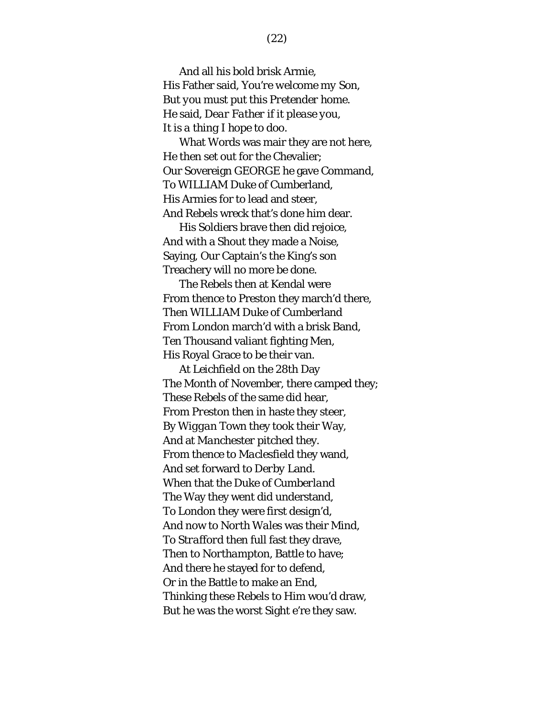And all his bold brisk Armie, His Father said, *You're welcome my Son, But you must put this Pretender home.*  He said, *Dear Father if it please you, It is a thing I hope to doo.*

What Words was mair they are not here, He then set out for the Chevalier; Our Sovereign GEORGE he gave Command, To WILLIAM Duke of Cumberland, His Armies for to lead and steer, And Rebels wreck that's done him dear.

His Soldiers brave then did rejoice, And with a Shout they made a Noise, Saying, Our Captain's the King's son Treachery will no more be done.

The Rebels then at Kendal were From thence to Preston they march'd there, Then WILLIAM Duke of Cumberland From London march'd with a brisk Band, Ten Thousand valiant fighting Men, His Royal Grace to be their van.

At *Leichfield* on the 28th Day The Month of November, there camped they; These Rebels of the same did hear, From *Preston* then in haste they steer, By *Wiggan* Town they took their Way, And at *Manchester* pitched they. From thence to *Maclesfield* they wand, And set forward to *Derby* Land. When that the Duke of *Cumberland* The Way they went did understand, To London they were first design'd, And now to *North Wales* was their Mind, To *Strafford* then full fast they drave, Then to *Northampton*, Battle to have; And there he stayed for to defend, Or in the Battle to make an End, Thinking these Rebels to Him wou'd draw, But he was the worst Sight e're they saw.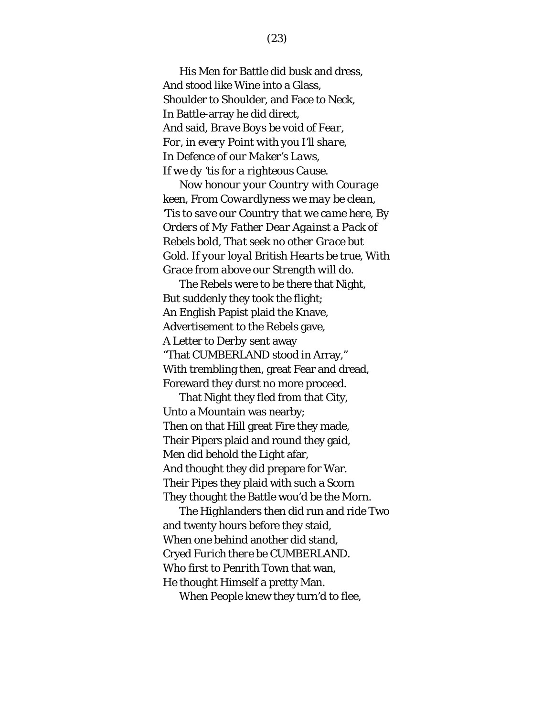His Men for Battle did busk and dress, And stood like Wine into a Glass, Shoulder to Shoulder, and Face to Neck, In Battle-array he did direct, And said, *Brave Boys be void of Fear, For, in every Point with you I'll share, In Defence of our Maker's Laws, If we dy 'tis for a righteous Cause.*

*Now honour your Country with Courage keen, From Cowardlyness we may be clean, 'Tis to save our Country that we came here, By Orders of My Father Dear Against a Pack of Rebels bold, That seek no other Grace but Gold. If your loyal* British *Hearts be true, With Grace from above our Strength will do.*

The Rebels were to be there that Night, But suddenly they took the flight; An English Papist plaid the Knave, Advertisement to the Rebels gave, A Letter to *Derby* sent away "That CUMBERLAND stood in Array," With trembling then, great Fear and dread, Foreward they durst no more proceed.

That Night they fled from that City, Unto a Mountain was nearby; Then on that Hill great Fire they made, Their Pipers plaid and round they gaid, Men did behold the Light afar, And thought they did prepare for War. Their Pipes they plaid with such a Scorn They thought the Battle wou'd be the Morn.

The *Highlanders* then did run and ride Two and twenty hours before they staid, When one behind another did stand, Cryed *Furich there be* CUMBERLAND. Who first to *Penrith* Town that wan, He thought Himself a pretty Man.

When People knew they turn'd to flee,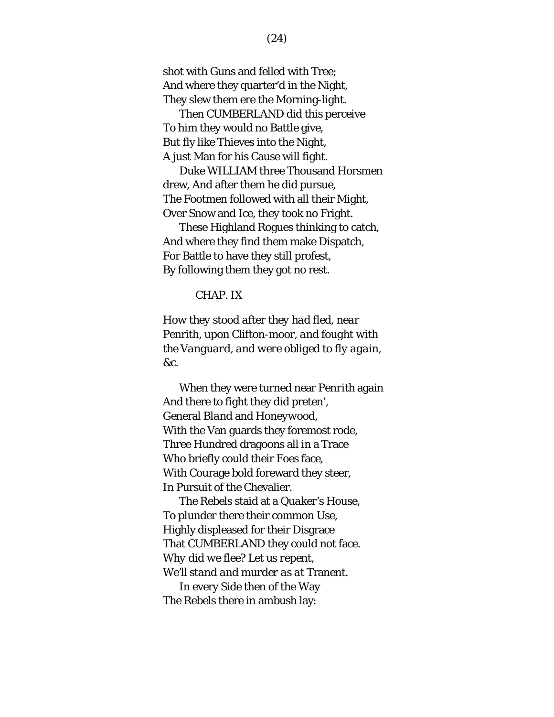shot with Guns and felled with Tree; And where they quarter'd in the Night, They slew them ere the Morning-light.

Then CUMBERLAND did this perceive To him they would no Battle give, But fly like Thieves into the Night, A just Man for his Cause will fight.

Duke WILLIAM three Thousand Horsmen drew, And after them he did pursue, The Footmen followed with all their Might, Over Snow and Ice, they took no Fright.

These Highland Rogues thinking to catch, And where they find them make Dispatch, For Battle to have they still profest, By following them they got no rest.

#### CHAP. IX

*How they stood after they had fled, near*  Penrith*, upon* Clifton-moor*, and fought with the Vanguard, and were obliged to fly again, &c.*

When they were turned near *Penrith* again And there to fight they did preten', General *Bland* and *Honeywood*, With the Van guards they foremost rode, Three Hundred dragoons all in a Trace Who briefly could their Foes face, With Courage bold foreward they steer, In Pursuit of the Chevalier.

The Rebels staid at a *Quaker's* House, To plunder there their common Use, Highly displeased for their Disgrace That CUMBERLAND they could not face. *Why did we flee? Let us repent, We'll stand and murder as at* Tranent.

In every Side then of the Way The Rebels there in ambush lay: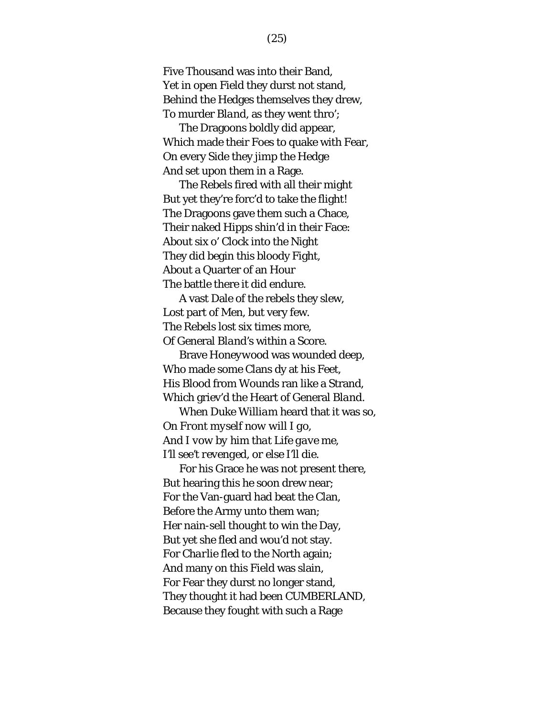Five Thousand was into their Band, Yet in open Field they durst not stand, Behind the Hedges themselves they drew, To murder *Bland*, as they went thro';

The Dragoons boldly did appear, Which made their Foes to quake with Fear, On every Side they jimp the Hedge And set upon them in a Rage.

The Rebels fired with all their might But yet they're forc'd to take the flight! The Dragoons gave them such a Chace, Their naked Hipps shin'd in their Face: About six o' Clock into the Night They did begin this bloody Fight, About a Quarter of an Hour The battle there it did endure.

A vast Dale of the rebels they slew, Lost part of Men, but very few. The Rebels lost six times more, Of General *Bland's* within a Score.

Brave *Honeywood* was wounded deep, Who made some Clans dy at his Feet, His Blood from Wounds ran like a Strand, Which griev'd the Heart of General *Bland*.

When Duke *William* heard that it was so, *On Front myself now will I go, And I vow by him that Life gave me, I'll see't revenged, or else I'll die.*

For his Grace he was not present there, But hearing this he soon drew near; For the Van-guard had beat the Clan, Before the Army unto them wan; Her nain-sell thought to win the Day, But yet she fled and wou'd not stay. For *Charlie* fled to the North again; And many on this Field was slain, For Fear they durst no longer stand, They thought it had been CUMBERLAND, Because they fought with such a Rage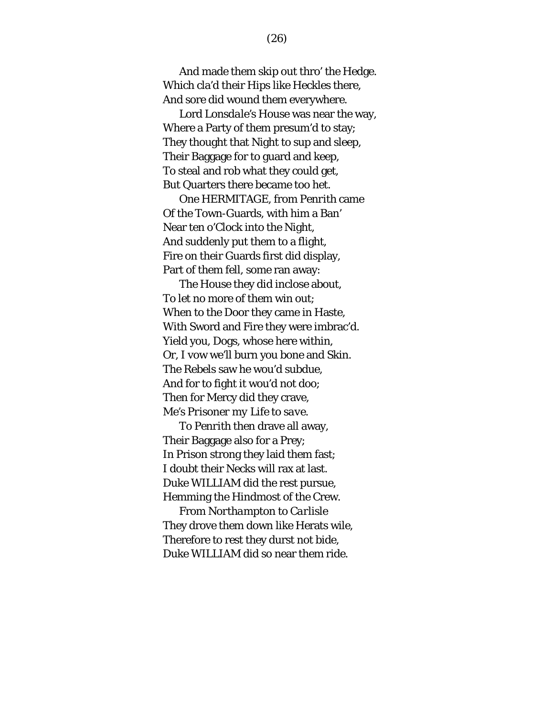And made them skip out thro' the Hedge. Which cla'd their Hips like Heckles there, And sore did wound them everywhere.

Lord *Lonsdale's* House was near the way, Where a Party of them presum'd to stay; They thought that Night to sup and sleep, Their Baggage for to guard and keep, To steal and rob what they could get, But Quarters there became too het.

One HERMITAGE, from *Penrith* came Of the Town-Guards, with him a Ban' Near ten o'Clock into the Night, And suddenly put them to a flight, Fire on their Guards first did display, Part of them fell, some ran away:

The House they did inclose about, To let no more of them win out; When to the Door they came in Haste, With Sword and Fire they were imbrac'd. Yield you, Dogs, whose here within, Or, I vow we'll burn you bone and Skin. The Rebels saw he wou'd subdue, And for to fight it wou'd not doo; Then for Mercy did they crave, *Me's Prisoner my Life to save.*

To *Penrith* then drave all away, Their Baggage also for a Prey; In Prison strong they laid them fast; I doubt their Necks will rax at last. Duke WILLIAM did the rest pursue, Hemming the Hindmost of the Crew.

From *Northampton* to *Carlisle* They drove them down like Herats wile, Therefore to rest they durst not bide, Duke WILLIAM did so near them ride.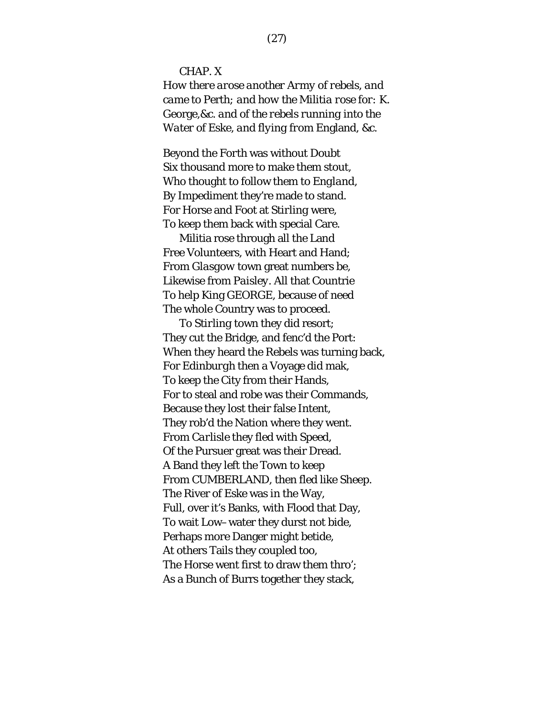CHAP. X

*How there arose another Army of rebels, and came to* Perth*; and how the Militia rose for: K.*  George*,&c. and of the rebels running into the Water of* Eske*, and flying from* England*, &c.*

Beyond the *Forth* was without Doubt Six thousand more to make them stout, Who thought to follow them to *England*, By Impediment they're made to stand. For Horse and Foot at *Stirling* were, To keep them back with special Care.

Militia rose through all the Land Free Volunteers, with Heart and Hand; From *Glasgow* town great numbers be, Likewise from *Paisley*. All that Countrie To help King GEORGE, because of need The whole Country was to proceed.

To *Stirling* town they did resort; They cut the Bridge, and fenc'd the Port: When they heard the Rebels was turning back, For *Edinburgh* then a Voyage did mak, To keep the City from their Hands, For to steal and robe was their Commands, Because they lost their false Intent, They rob'd the Nation where they went. From *Carlisle* they fled with Speed, Of the Pursuer great was their Dread. A Band they left the Town to keep From CUMBERLAND, then fled like Sheep. The River of *Eske* was in the Way, Full, over it's Banks, with Flood that Day, To wait Low–water they durst not bide, Perhaps more Danger might betide, At others Tails they coupled too, The Horse went first to draw them thro'; As a Bunch of Burrs together they stack,

(27)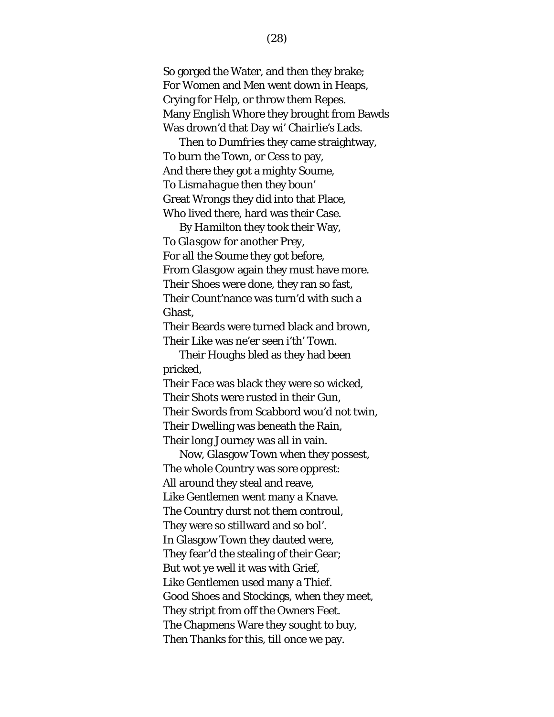So gorged the Water, and then they brake; For Women and Men went down in Heaps, Crying for Help, or throw them Repes. Many *English* Whore they brought from Bawds Was drown'd that Day wi' *Chairlie's* Lads.

Then to *Dumfries* they came straightway, To burn the Town, or Cess to pay, And there they got a mighty Soume, To *Lismahague* then they boun' Great Wrongs they did into that Place, Who lived there, hard was their Case.

By *Hamilton* they took their Way, To *Glasgow* for another Prey, For all the Soume they got before, From *Glasgow* again they must have more. Their Shoes were done, they ran so fast, Their Count'nance was turn'd with such a Ghast,

Their Beards were turned black and brown, Their Like was ne'er seen i'th' Town.

Their Houghs bled as they had been pricked,

Their Face was black they were so wicked, Their Shots were rusted in their Gun, Their Swords from Scabbord wou'd not twin, Their Dwelling was beneath the Rain, Their long Journey was all in vain.

Now, Glasgow Town when they possest, The whole Country was sore opprest: All around they steal and reave, Like Gentlemen went many a Knave. The Country durst not them controul, They were so stillward and so bol'. In Glasgow Town they dauted were, They fear'd the stealing of their Gear; But wot ye well it was with Grief, Like Gentlemen used many a Thief. Good Shoes and Stockings, when they meet, They stript from off the Owners Feet. The Chapmens Ware they sought to buy, Then Thanks for this, till once we pay.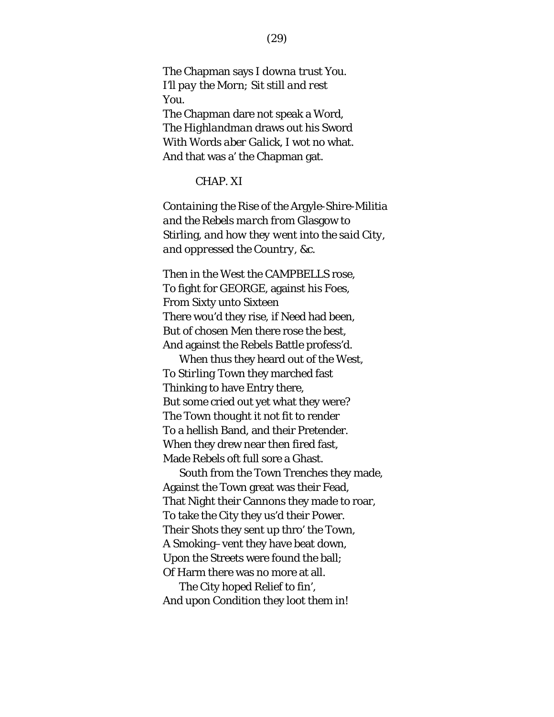The Chapman says *I downa trust You. I'll pay the Morn; Sit still and rest You.* The Chapman dare not speak a Word, The *Highlandman* draws out his Sword With Words *aber Galick*, I wot no what. And that was a' the Chapman gat.

# CHAP. XI

*Containing the Rise of the* Argyle-Shire-Militia *and the Rebels march from* Glasgow *to*  Stirling*, and how they went into the said City, and oppressed the Country, &c.*

Then in the *West* the CAMPBELLS rose, To fight for GEORGE, against his Foes, From Sixty unto Sixteen There wou'd they rise, if Need had been, But of chosen Men there rose the best, And against the Rebels Battle profess'd.

When thus they heard out of the *West*, To *Stirling* Town they marched fast Thinking to have Entry there, But some cried out yet what they were? The Town thought it not fit to render To a hellish Band, and their Pretender. When they drew near then fired fast, Made Rebels oft full sore a Ghast.

South from the Town Trenches they made, Against the Town great was their Fead, That Night their Cannons they made to roar, To take the City they us'd their Power. Their Shots they sent up thro' the Town, A Smoking–vent they have beat down, Upon the Streets were found the ball; Of Harm there was no more at all.

The City hoped Relief to fin', And upon Condition they loot them in!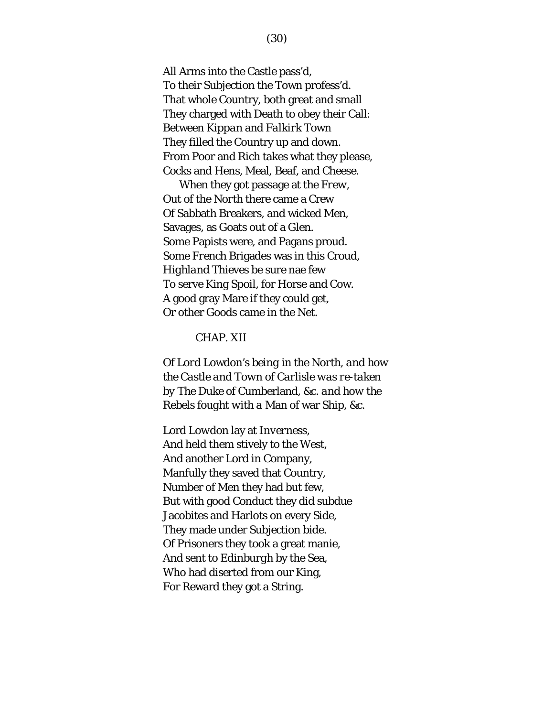All Arms into the Castle pass'd, To their Subjection the Town profess'd. That whole Country, both great and small They charged with Death to obey their Call: Between *Kippan* and *Falkirk* Town They filled the Country up and down. From Poor and Rich takes what they please, Cocks and Hens, Meal, Beaf, and Cheese.

When they got passage at the *Frew*, Out of the *North* there came a Crew Of Sabbath Breakers, and wicked Men, Savages, as Goats out of a Glen. Some Papists were, and Pagans proud. Some *French* Brigades was in this Croud, *Highland* Thieves be sure nae few To serve King *Spoil*, for Horse and Cow. A good gray Mare if they could get, Or other Goods came in the Net.

### CHAP. XII

*Of Lord* Lowdon's *being in the North, and how the Castle and Town of Carlisle was re-taken by The Duke of* Cumberland*, &c. and how the Rebels fought with a* Man of war Ship*, &c.*

Lord *Lowdon* lay at *Inverness*, And held them stively to the *West*, And another Lord in Company, Manfully they saved that Country, Number of Men they had but few, But with good Conduct they did subdue Jacobites and Harlots on every Side, They made under Subjection bide. Of Prisoners they took a great manie, And sent to *Edinburgh* by the Sea, Who had diserted from our King, For Reward they got a String.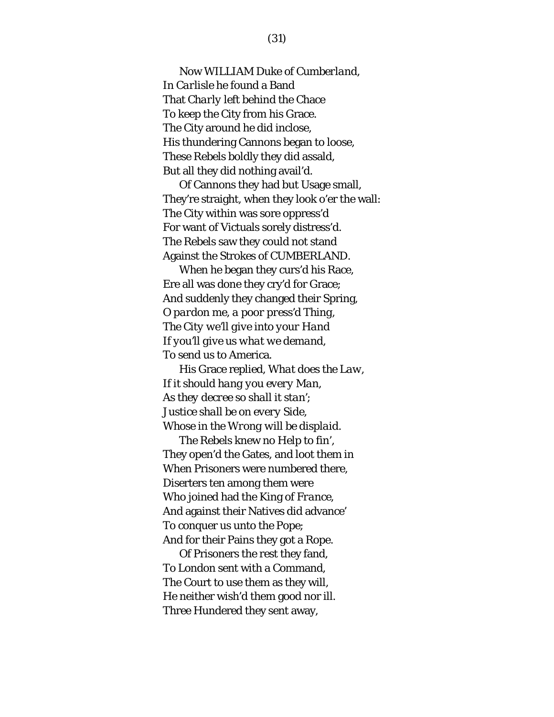Now WILLIAM Duke of *Cumberland*, In *Carlisle* he found a Band That *Charly* left behind the Chace To keep the City from his Grace. The City around he did inclose, His thundering Cannons began to loose, These Rebels boldly they did assald, But all they did nothing avail'd.

Of Cannons they had but Usage small, They're straight, when they look o'er the wall: The City within was sore oppress'd For want of Victuals sorely distress'd. The Rebels saw they could not stand Against the Strokes of CUMBERLAND.

When he began they curs'd his Race, Ere all was done they cry'd for Grace; And suddenly they changed their Spring, *O pardon me, a poor press'd Thing, The City we'll give into your Hand If you'll give us what we demand, To send us to* America.

His Grace replied, *What does the Law, If it should hang you every Man, As they decree so shall it stan'; Justice shall be on every Side, Whose in the Wrong will be displaid.*

The Rebels knew no Help to fin', They open'd the Gates, and loot them in When Prisoners were numbered there, Diserters ten among them were Who joined had the King of *France*, And against their Natives did advance' To conquer us unto the Pope; And for their Pains they got a Rope.

Of Prisoners the rest they fand, To London sent with a Command, The Court to use them as they will, He neither wish'd them good nor ill. Three Hundered they sent away,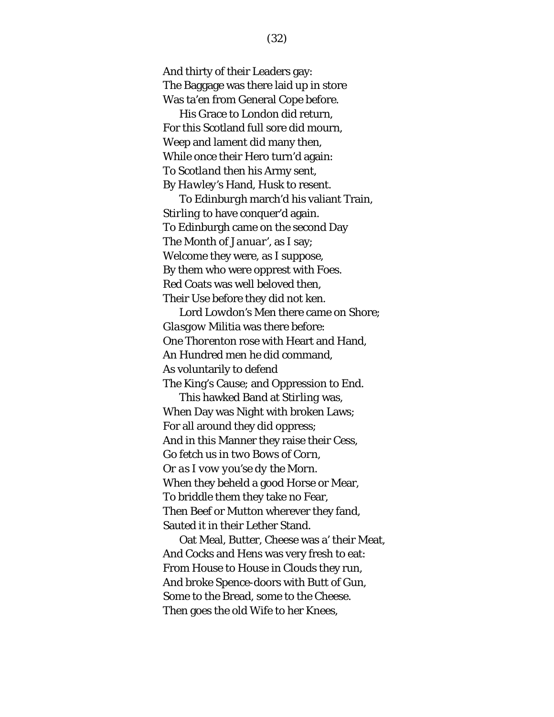And thirty of their Leaders gay: The Baggage was there laid up in store Was ta'en from General *Cope* before.

His Grace to *London* did return, For this Scotland full sore did mourn, Weep and lament did many then, While once their Hero turn'd again: To *Scotland* then his Army sent, By *Hawley's* Hand, *Husk* to resent.

To *Edinburgh* march'd his valiant Train, *Stirling* to have conquer'd again. To Edinburgh came on the second Day The Month of *Januar'*, as I say; Welcome they were, as I suppose, By them who were opprest with Foes. Red Coats was well beloved then, Their Use before they did not ken.

Lord *Lowdon's* Men there came on Shore; *Glasgow* Militia was there before: One *Thorenton* rose with Heart and Hand, An Hundred men he did command, As voluntarily to defend The King's Cause; and Oppression to End.

This hawked Band at *Stirling* was, When Day was Night with broken Laws; For all around they did oppress; And in this Manner they raise their Cess, *Go fetch us in two Bows of Corn, Or as I vow you'se dy the Morn.* When they beheld a good Horse or Mear, To briddle them they take no Fear, Then Beef or Mutton wherever they fand, Sauted it in their Lether Stand.

Oat Meal, Butter, Cheese was a' their Meat, And Cocks and Hens was very fresh to eat: From House to House in Clouds they run, And broke Spence-doors with Butt of Gun, Some to the Bread, some to the Cheese. Then goes the old Wife to her Knees,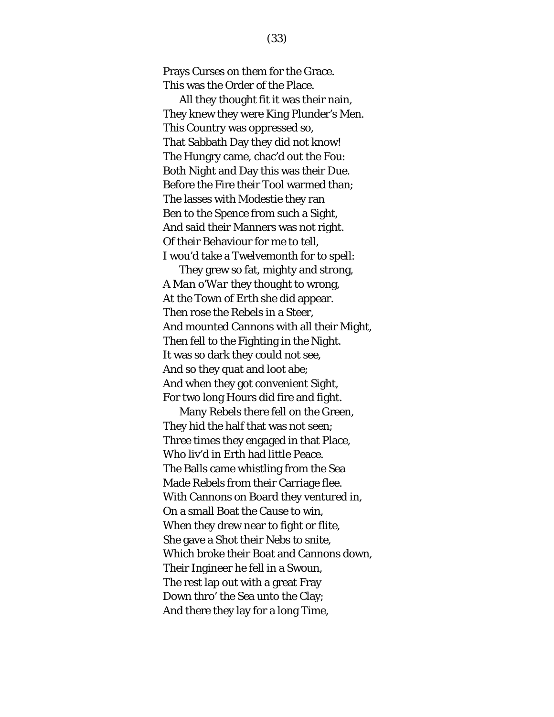Prays Curses on them for the Grace. This was the Order of the Place.

All they thought fit it was their nain, They knew they were King Plunder's Men. This Country was oppressed so, That Sabbath Day they did not know! The Hungry came, chac'd out the Fou: Both Night and Day this was their Due. Before the Fire their Tool warmed than; The lasses with Modestie they ran Ben to the Spence from such a Sight, And said their Manners was not right. Of their Behaviour for me to tell, I wou'd take a Twelvemonth for to spell:

They grew so fat, mighty and strong, A *Man o'War* they thought to wrong, At the Town of *Erth* she did appear. Then rose the Rebels in a Steer, And mounted Cannons with all their Might, Then fell to the Fighting in the Night. It was so dark they could not see, And so they quat and loot abe; And when they got convenient Sight, For two long Hours did fire and fight.

Many Rebels there fell on the Green, They hid the half that was not seen; Three times they engaged in that Place, Who liv'd in Erth had little Peace. The Balls came whistling from the Sea Made Rebels from their Carriage flee. With Cannons on Board they ventured in, On a small Boat the Cause to win, When they drew near to fight or flite, She gave a Shot their Nebs to snite, Which broke their Boat and Cannons down, Their Ingineer he fell in a Swoun, The rest lap out with a great Fray Down thro' the Sea unto the Clay; And there they lay for a long Time,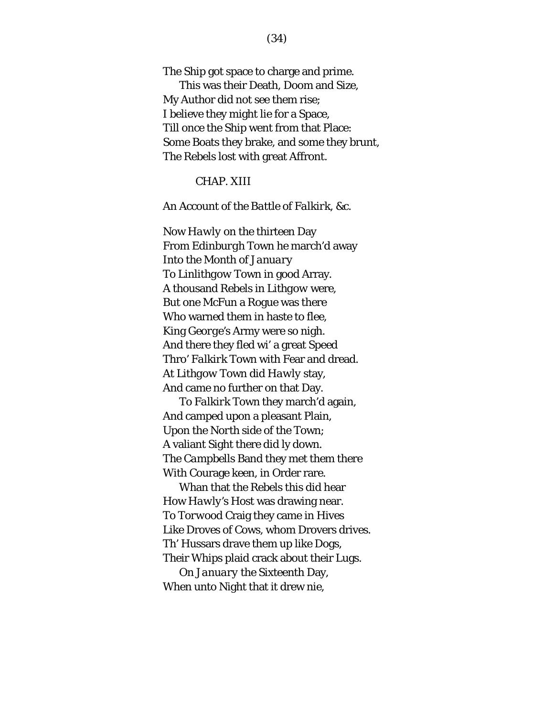The Ship got space to charge and prime. This was their Death, Doom and Size, My Author did not see them rise; I believe they might lie for a Space, Till once the Ship went from that Place: Some Boats they brake, and some they brunt, The Rebels lost with great Affront.

## CHAP. XIII

### *An Account of the Battle of Falkirk, &c.*

Now *Hawly* on the thirteen Day From *Edinburgh* Town he march'd away Into the Month of *January* To *Linlithgow* Town in good Array. A thousand Rebels in *Lithgow* were, But one *McFun* a Rogue was there Who warned them in haste to flee, King *George's* Army were so nigh. And there they fled wi' a great Speed Thro' *Falkirk* Town with Fear and dread. At *Lithgow* Town did *Hawly* stay, And came no further on that Day.

To *Falkirk* Town they march'd again, And camped upon a pleasant Plain, Upon the *North* side of the Town; A valiant Sight there did ly down. The *Campbells* Band they met them there With Courage keen, in Order rare.

Whan that the Rebels this did hear How *Hawly's* Host was drawing near. To *Torwood* Craig they came in Hives Like Droves of Cows, whom Drovers drives. Th' Hussars drave them up like Dogs, Their Whips plaid crack about their Lugs.

On *January* the Sixteenth Day, When unto Night that it drew nie,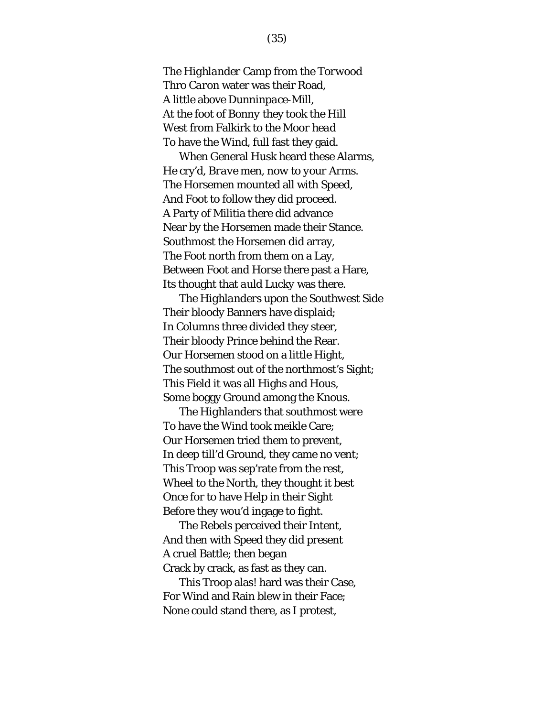The *Highlander* Camp from the *Torwood*  Thro *Caron* water was their Road, A little above *Dunninpace*-Mill, At the foot of *Bonny* they took the Hill *West* from Falkirk to the *Moor head* To have the Wind, full fast they gaid.

When General *Husk* heard these Alarms, He cry'd, *Brave men, now to your Arms*. The Horsemen mounted all with Speed, And Foot to follow they did proceed. A Party of Militia there did advance Near by the Horsemen made their Stance. Southmost the Horsemen did array, The Foot north from them on a Lay, Between Foot and Horse there past a Hare, Its thought that *auld Lucky* was there.

The *Highlanders* upon the *Southwest* Side Their bloody Banners have displaid; In Columns three divided they steer, Their bloody Prince behind the Rear. Our Horsemen stood on a little Hight, The southmost out of the northmost's Sight; This Field it was all Highs and Hous, Some boggy Ground among the Knous.

The *Highlanders* that southmost were To have the Wind took meikle Care; Our Horsemen tried them to prevent, In deep till'd Ground, they came no vent; This Troop was sep'rate from the rest, Wheel to the *North*, they thought it best Once for to have Help in their Sight Before they wou'd ingage to fight.

The Rebels perceived their Intent, And then with Speed they did present A cruel Battle; then began Crack by crack, as fast as they can.

This Troop alas! hard was their Case, For Wind and Rain blew in their Face; None could stand there, as I protest,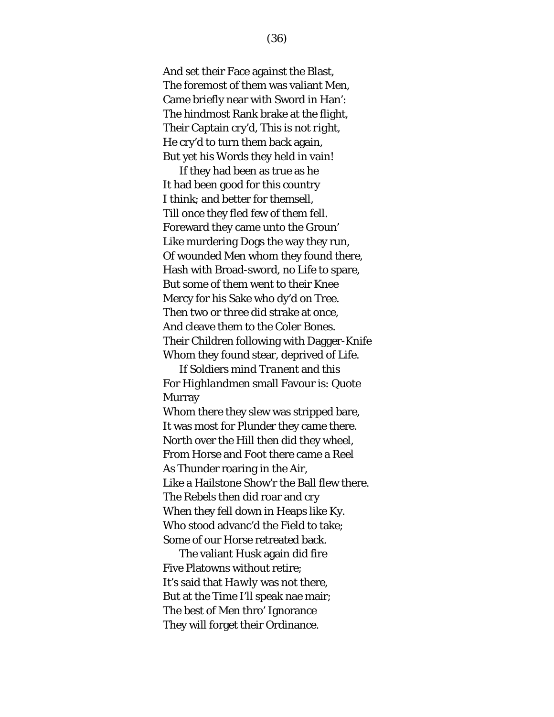And set their Face against the Blast, The foremost of them was valiant Men, Came briefly near with Sword in Han': The hindmost Rank brake at the flight, Their Captain cry'd, *This is not right*, He cry'd to turn them back again, But yet his Words they held in vain!

If they had been as true as he It had been good for this country I think; and better for themsell, Till once they fled few of them fell. Foreward they came unto the Groun' Like murdering Dogs the way they run, Of wounded Men whom they found there, Hash with Broad-sword, no Life to spare, But some of them went to their Knee Mercy for his Sake who dy'd on Tree. Then two or three did strake at once, And cleave them to the Coler Bones. Their Children following with Dagger-Knife Whom they found stear, deprived of Life.

If Soldiers mind *Tranent* and this For *Highlandmen* small Favour is: Quote Murray

Whom there they slew was stripped bare, It was most for Plunder they came there. *North* over the Hill then did they wheel, From Horse and Foot there came a Reel As Thunder roaring in the Air, Like a Hailstone Show'r the Ball flew there. The Rebels then did roar and cry When they fell down in Heaps like Ky. Who stood advanc'd the Field to take; Some of our Horse retreated back.

The valiant *Husk* again did fire Five Platowns without retire; It's said that *Hawly* was not there, But at the Time I'll speak nae mair; The best of Men thro' Ignorance They will forget their Ordinance.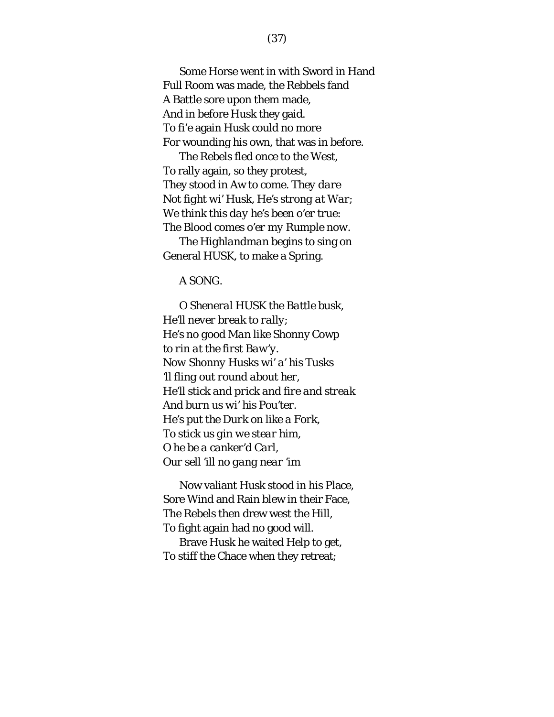Some Horse went in with Sword in Hand Full Room was made, the Rebbels fand A Battle sore upon them made, And in before *Husk* they gaid. To fi'e again *Husk* could no more For wounding his own, that was in before.

The Rebels fled once to the West, To rally again, so they protest, They stood in Aw to come. *They dare Not fight wi'* Husk*, He's strong at War; We think this day he's been o'er true: The Blood comes o'er my Rumple now.*

The *Highlandman* begins to sing on General HUSK, to make a Spring.

A SONG.

*O Sheneral* HUSK *the Battle busk, He'll never break to rally; He's no good Man like* Shonny Cowp *to rin at the first Baw'y. Now Shonny Husks wi' a' his Tusks 'll fling out round about her, He'll stick and prick and fire and streak And burn us wi' his Pou'ter. He's put the Durk on like a Fork, To stick us gin we stear him, O he be a canker'd Carl, Our sell 'ill no gang near 'im*

Now valiant *Husk* stood in his Place, Sore Wind and Rain blew in their Face, The Rebels then drew west the Hill, To fight again had no good will.

Brave *Husk* he waited Help to get, To stiff the Chace when they retreat;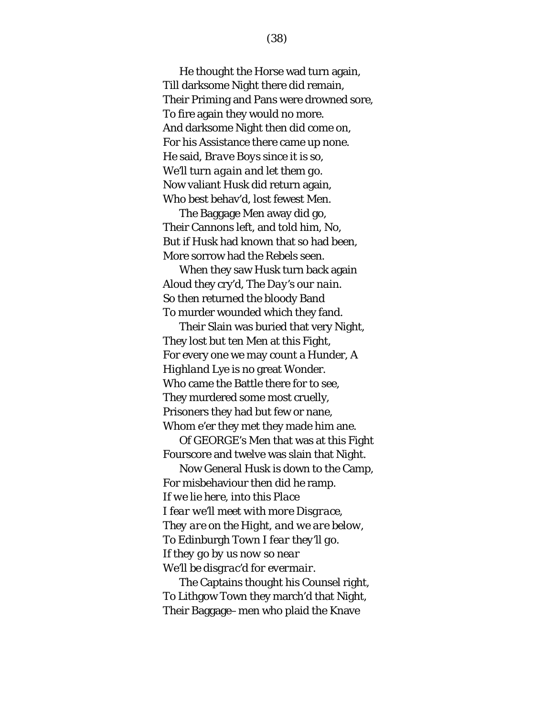He thought the Horse wad turn again, Till darksome Night there did remain, Their Priming and Pans were drowned sore, To fire again they would no more. And darksome Night then did come on, For his Assistance there came up none. He said, *Brave Boys since it is so, We'll turn again and let them go.* Now valiant *Husk* did return again, Who best behav'd, lost fewest Men.

The Baggage Men away did go, Their Cannons left, and told him, No, But if *Husk* had known that so had been, More sorrow had the Rebels seen.

When they saw *Husk* turn back again Aloud they cry'd, *The Day's our nain*. So then returned the bloody Band To murder wounded which they fand.

Their Slain was buried that very Night, They lost but ten Men at this Fight, For every one we may count a Hunder, A *Highland* Lye is no great Wonder. Who came the Battle there for to see, They murdered some most cruelly, Prisoners they had but few or nane, Whom e'er they met they made him ane.

Of GEORGE's Men that was at this Fight Fourscore and twelve was slain that Night.

Now General Husk is down to the Camp, For misbehaviour then did he ramp. *If we lie here, into this Place I fear we'll meet with more Disgrace, They are on the Hight, and we are below, To* Edinburgh *Town I fear they'll go. If they go by us now so near We'll be disgrac'd for evermair.*

The Captains thought his Counsel right, To Lithgow Town they march'd that Night, Their Baggage–men who plaid the Knave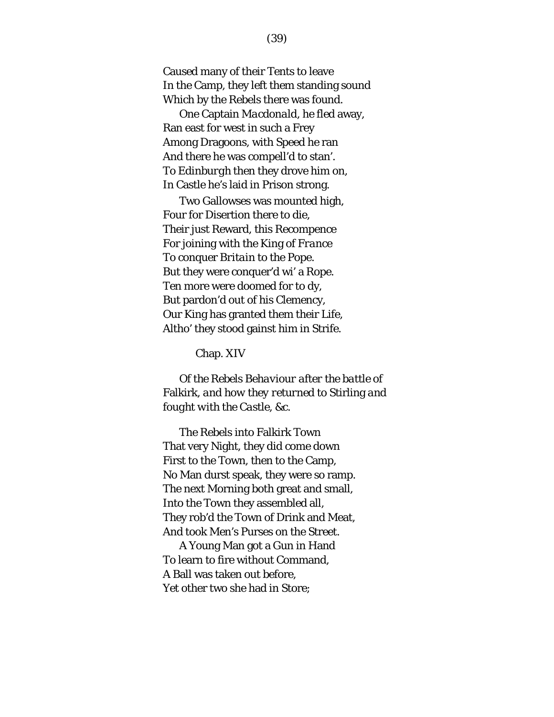Caused many of their Tents to leave In the Camp, they left them standing sound Which by the Rebels there was found.

One Captain *Macdonald*, he fled away, Ran east for west in such a Frey Among Dragoons, with Speed he ran And there he was compell'd to stan'. To *Edinburgh* then they drove him on, In Castle he's laid in Prison strong.

Two Gallowses was mounted high, Four for Disertion there to die, Their just Reward, this Recompence For joining with the King of *France* To conquer *Britain* to the Pope. But they were conquer'd wi' a Rope. Ten more were doomed for to dy, But pardon'd out of his Clemency, Our King has granted them their Life, Altho' they stood gainst him in Strife.

Chap. XIV

*Of the Rebels Behaviour after the battle of*  Falkirk*, and how they returned to* Stirling *and fought with the Castle, &c.*

The Rebels into Falkirk Town That very Night, they did come down First to the Town, then to the Camp, No Man durst speak, they were so ramp. The next Morning both great and small, Into the Town they assembled all, They rob'd the Town of Drink and Meat, And took Men's Purses on the Street.

A Young Man got a Gun in Hand To learn to fire without Command, A Ball was taken out before, Yet other two she had in Store;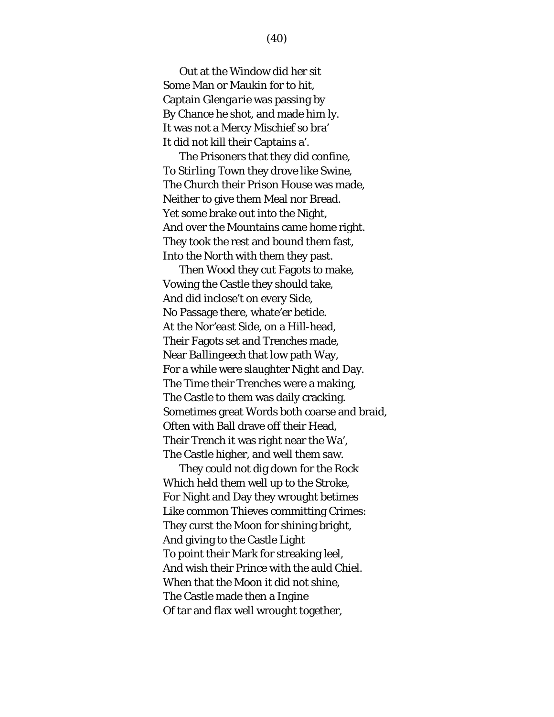Out at the Window did her sit Some Man or Maukin for to hit, Captain *Glengarie* was passing by By Chance he shot, and made him ly. It was not a Mercy Mischief so bra' It did not kill their Captains a'.

The Prisoners that they did confine, To *Stirling* Town they drove like Swine, The Church their Prison House was made, Neither to give them Meal nor Bread. Yet some brake out into the Night, And over the Mountains came home right. They took the rest and bound them fast, Into the *North* with them they past.

Then Wood they cut Fagots to make, Vowing the Castle they should take, And did inclose't on every Side, No Passage there, whate'er betide. At the *Nor'east* Side, on a Hill-head, Their Fagots set and Trenches made, Near *Ballingeech* that low path Way, For a while were slaughter Night and Day. The Time their Trenches were a making, The Castle to them was daily cracking. Sometimes great Words both coarse and braid, Often with Ball drave off their Head, Their Trench it was right near the Wa', The Castle higher, and well them saw.

They could not dig down for the Rock Which held them well up to the Stroke, For Night and Day they wrought betimes Like common Thieves committing Crimes: They curst the Moon for shining bright, And giving to the Castle Light To point their Mark for streaking leel, And wish their Prince with the auld Chiel. When that the Moon it did not shine, The Castle made then a Ingine Of tar and flax well wrought together,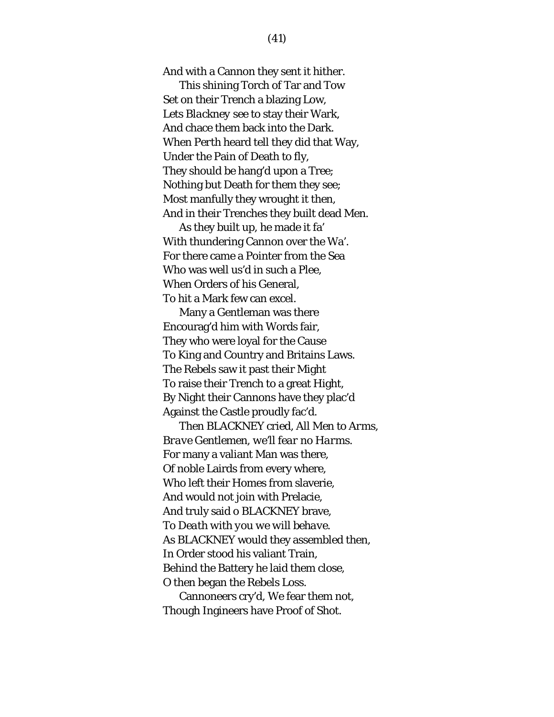And with a Cannon they sent it hither.

This shining Torch of Tar and Tow Set on their Trench a blazing Low, Lets *Blackney* see to stay their Wark, And chace them back into the Dark. When *Perth* heard tell they did that Way, Under the Pain of Death to fly, They should be hang'd upon a Tree; Nothing but Death for them they see; Most manfully they wrought it then, And in their Trenches they built dead Men.

As they built up, he made it fa' With thundering Cannon over the Wa'. For there came a Pointer from the Sea Who was well us'd in such a Plee, When Orders of his General, To hit a Mark few can excel.

Many a Gentleman was there Encourag'd him with Words fair, They who were loyal for the Cause To King and Country and Britains Laws. The Rebels saw it past their Might To raise their Trench to a great Hight, By Night their Cannons have they plac'd Against the Castle proudly fac'd.

Then BLACKNEY cried, *All Men to Arms, Brave Gentlemen, we'll fear no Harms*. For many a valiant Man was there, Of noble Lairds from every where, Who left their Homes from slaverie, And would not join with Prelacie, And truly said o BLACKNEY brave, *To Death with you we will behave.* As BLACKNEY would they assembled then, In Order stood his valiant Train, Behind the Battery he laid them close, O then began the Rebels Loss.

Cannoneers cry'd, We fear them not, Though Ingineers have Proof of Shot.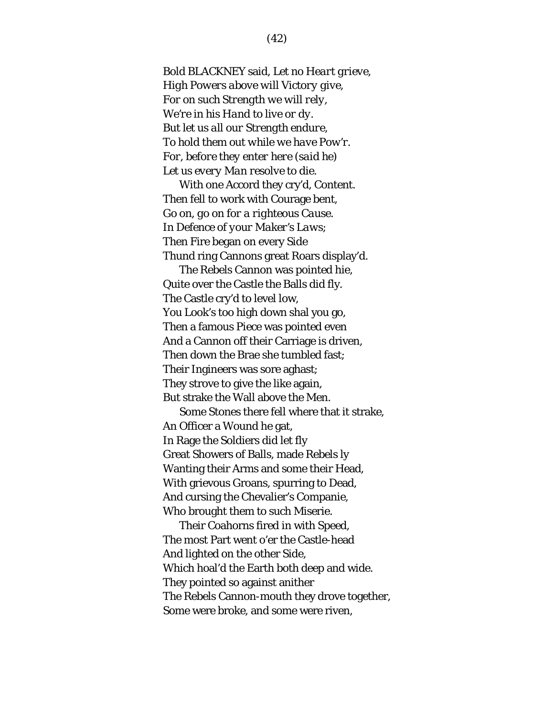Bold BLACKNEY said, *Let no Heart grieve, High Powers above will Victory give, For on such Strength we will rely, We're in his Hand to live or dy. But let us all our Strength endure, To hold them out while we have Pow'r. For, before they enter here (said he) Let us every Man resolve to die.*

With one Accord they cry'd, *Content*. Then fell to work with Courage bent, *Go on, go on for a righteous Cause. In Defence of your Maker's Laws;* Then Fire began on every Side Thund ring Cannons great Roars display'd.

The Rebels Cannon was pointed hie, Quite over the Castle the Balls did fly. The Castle cry'd to level low, You Look's too high down shal you go, Then a famous Piece was pointed even And a Cannon off their Carriage is driven, Then down the Brae she tumbled fast; Their Ingineers was sore aghast; They strove to give the like again, But strake the Wall above the Men.

Some Stones there fell where that it strake, An Officer a Wound he gat, In Rage the Soldiers did let fly Great Showers of Balls, made Rebels ly Wanting their Arms and some their Head, With grievous Groans, spurring to Dead, And cursing the Chevalier's Companie, Who brought them to such Miserie.

Their Coahorns fired in with Speed, The most Part went o'er the Castle-head And lighted on the other Side, Which hoal'd the Earth both deep and wide. They pointed so against anither The Rebels Cannon-mouth they drove together, Some were broke, and some were riven,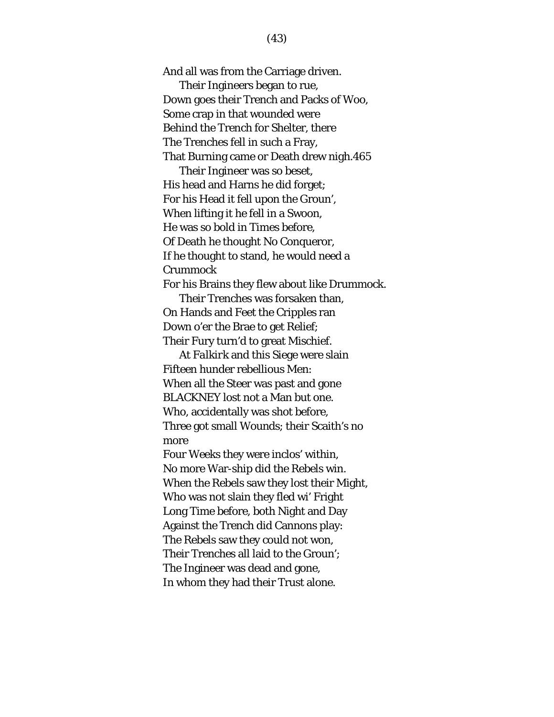And all was from the Carriage driven. Their Ingineers began to rue, Down goes their Trench and Packs of Woo, Some crap in that wounded were Behind the Trench for Shelter, there The Trenches fell in such a Fray, That Burning came or Death drew nigh.465 Their Ingineer was so beset, His head and Harns he did forget; For his Head it fell upon the Groun', When lifting it he fell in a Swoon, He was so bold in Times before, Of Death he thought No Conqueror, If he thought to stand, he would need a Crummock For his Brains they flew about like Drummock. Their Trenches was forsaken than, On Hands and Feet the Cripples ran Down o'er the Brae to get Relief; Their Fury turn'd to great Mischief. At *Falkirk* and this Siege were slain Fifteen hunder rebellious Men: When all the Steer was past and gone BLACKNEY lost not a Man but one. Who, accidentally was shot before, Three got small Wounds; their Scaith's no more Four Weeks they were inclos' within, No more War-ship did the Rebels win. When the Rebels saw they lost their Might, Who was not slain they fled wi' Fright Long Time before, both Night and Day Against the Trench did Cannons play: The Rebels saw they could not won, Their Trenches all laid to the Groun'; The Ingineer was dead and gone, In whom they had their Trust alone.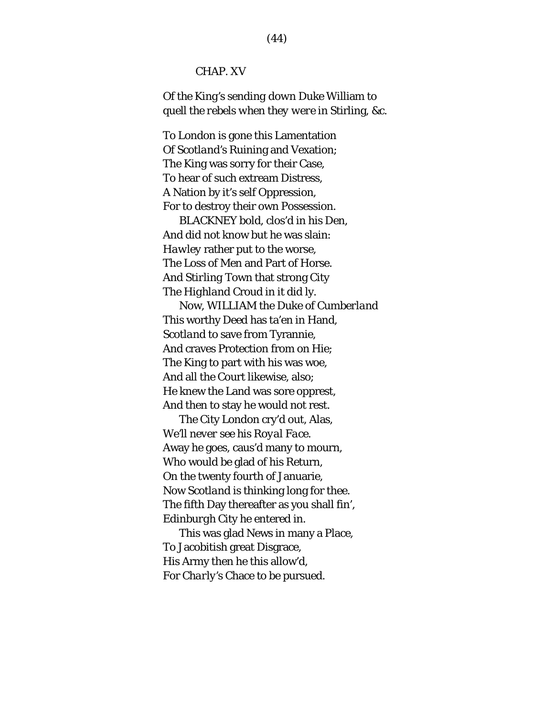### CHAP. XV

*Of the King's sending down Duke* William *to quell the rebels when they were in* Stirling*, &c.*

To *London* is gone this Lamentation Of *Scotland's* Ruining and Vexation; The King was sorry for their Case, To hear of such extream Distress, A Nation by it's self Oppression, For to destroy their own Possession.

BLACKNEY bold, clos'd in his Den, And did not know but he was slain: *Hawley* rather put to the worse, The Loss of Men and Part of Horse. And *Stirling* Town that strong City The *Highland* Croud in it did ly.

Now, WILLIAM the Duke of *Cumberland* This worthy Deed has ta'en in Hand, *Scotland* to save from Tyrannie, And craves Protection from on Hie; The King to part with his was woe, And all the Court likewise, also; He knew the Land was sore opprest, And then to stay he would not rest.

The City *London* cry'd out, Alas, *We'll never see his Royal Face.* Away he goes, caus'd many to mourn, Who would be glad of his Return, On the twenty fourth of Januarie, Now *Scotland* is thinking long for thee. The fifth Day thereafter as you shall fin', *Edinburgh* City he entered in.

This was glad News in many a Place, To Jacobitish great Disgrace, His Army then he this allow'd, For *Charly's* Chace to be pursued.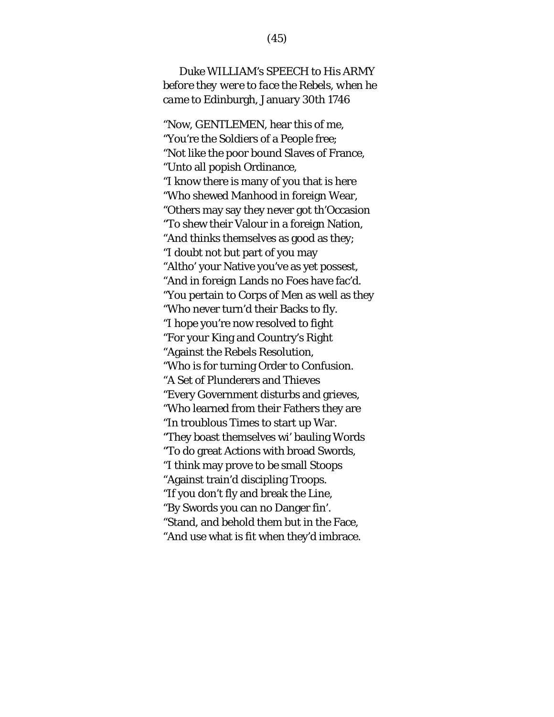# *Duke* WILLIAM*'s* SPEECH *to His* ARMY *before they were to face the Rebels, when he came to* Edinburgh, January 30th 1746

"Now, GENTLEMEN, hear this of me, "You're the Soldiers of a People free; "Not like the poor bound Slaves of France, "Unto all popish Ordinance, "I know there is many of you that is here "Who shewed Manhood in foreign Wear, "Others may say they never got th'Occasion "To shew their Valour in a foreign Nation, "And thinks themselves as good as they; "I doubt not but part of you may "Altho' your Native you've as yet possest, "And in foreign Lands no Foes have fac'd. "You pertain to Corps of Men as well as they "Who never turn'd their Backs to fly. "I hope you're now resolved to fight "For your King and Country's Right "Against the Rebels Resolution, "Who is for turning Order to Confusion. "A Set of Plunderers and Thieves "Every Government disturbs and grieves, "Who learned from their Fathers they are "In troublous Times to start up War. "They boast themselves wi' bauling Words "To do great Actions with broad Swords, "I think may prove to be small Stoops "Against train'd discipling Troops. "If you don't fly and break the Line, "By Swords you can no Danger fin'. "Stand, and behold them but in the Face,

"And use what is fit when they'd imbrace.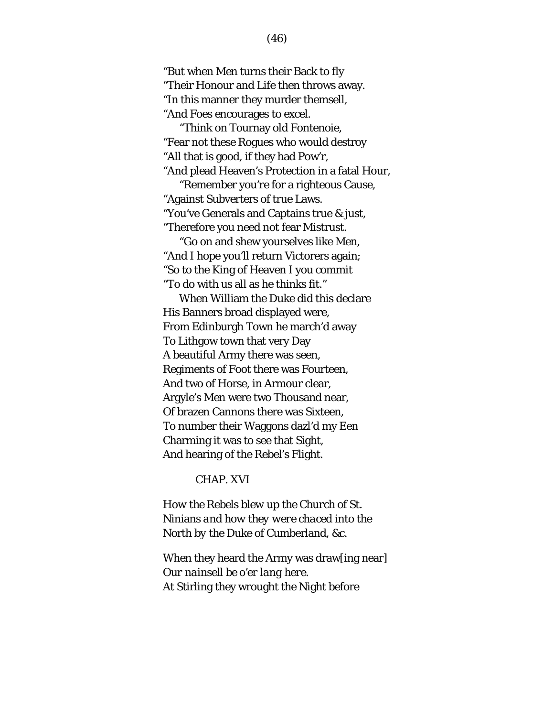"But when Men turns their Back to fly "Their Honour and Life then throws away. "In this manner they murder themsell, "And Foes encourages to excel. "Think on Tournay old Fontenoie,

"Fear not these Rogues who would destroy "All that is good, if they had Pow'r, "And plead Heaven's Protection in a fatal Hour, "Remember you're for a righteous Cause,

"Against Subverters of true Laws. "You've Generals and Captains true & just, "Therefore you need not fear Mistrust.

"Go on and shew yourselves like Men, "And I hope you'll return Victorers again; "So to the King of Heaven I you commit "To do with us all as he thinks fit."

When William the Duke did this declare His Banners broad displayed were, From Edinburgh Town he march'd away To Lithgow town that very Day A beautiful Army there was seen, Regiments of Foot there was Fourteen, And two of Horse, in Armour clear, Argyle's Men were two Thousand near, Of brazen Cannons there was Sixteen, To number their Waggons dazl'd my Een Charming it was to see that Sight, And hearing of the Rebel's Flight.

## CHAP. XVI

*How the Rebels blew up the Church of* St. Ninians *and how they were chaced into the*  North *by the Duke of* Cumberland*, &c.*

When they heard the Army was draw[ing near] *Our nainsell be o'er lang here.* At Stirling they wrought the Night before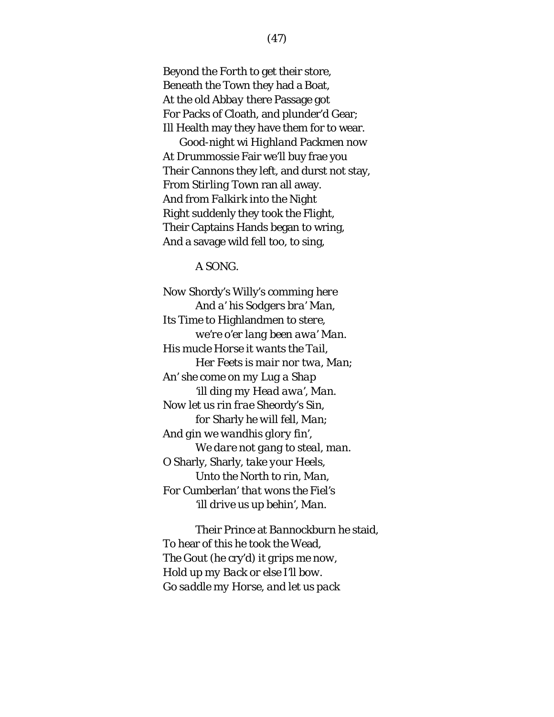Beyond the *Forth* to get their store, Beneath the Town they had a Boat, At the old *Abbay* there Passage got For Packs of Cloath, and plunder'd Gear; Ill Health may they have them for to wear.

Good-night wi *Highland* Packmen now At *Drummossie* Fair we'll buy frae you Their Cannons they left, and durst not stay, From *Stirling* Town ran all away. And from *Falkirk* into the Night Right suddenly they took the Flight, Their Captains Hands began to wring, And a savage wild fell too, to sing,

A SONG.

*Now* Shordy's Willy's *comming here And a' his Sodgers bra' Man, Its Time to* Highlandmen *to stere, we're o'er lang been awa' Man. His mucle Horse it wants the Tail, Her Feets is mair nor twa, Man; An' she come on my Lug a Shap 'ill ding my Head awa', Man. Now let us rin frae* Sheordy's *Sin, for* Sharly *he will fell, Man; And gin we wandhis glory fin', We dare not gang to steal, man. O* Sharly, Sharly*, take your Heels, Unto the* North *to rin, Man, For* Cumberlan' *that wons the Fiel's 'ill drive us up behin', Man.*

Their Prince at *Bannockburn* he staid, To hear of this he took the Wead*, The Gout* (he cry'd) *it grips me now, Hold up my Back or else I'll bow. Go saddle my Horse, and let us pack*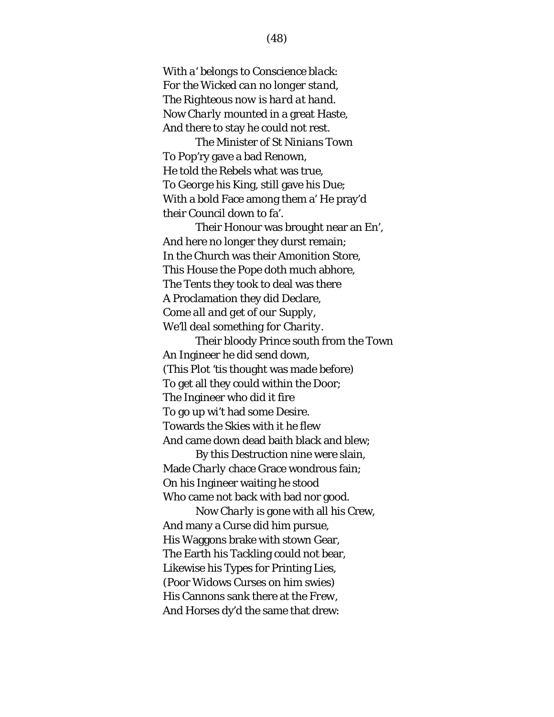*With a' belongs to Conscience black: For the Wicked can no longer stand, The Righteous now is hard at hand.* Now *Charly* mounted in a great Haste, And there to stay he could not rest.

The Minister of *St Ninians* Town To Pop'ry gave a bad Renown, He told the Rebels what was true, To *George* his King, still gave his Due; With a bold Face among them a' He pray'd their Council down to fa'.

Their Honour was brought near an En', And here no longer they durst remain; In the Church was their Amonition Store, This House the Pope doth much abhore, The Tents they took to deal was there A Proclamation they did Declare, *Come all and get of our Supply, We'll deal something for Charity.*

Their bloody Prince *south* from the Town An Ingineer he did send down, (This Plot 'tis thought was made before) To get all they could within the Door; The Ingineer who did it fire To go up wi't had some Desire. Towards the Skies with it he flew And came down dead baith black and blew;

By this Destruction nine were slain, Made *Charly* chace Grace wondrous fain; On his Ingineer waiting he stood Who came not back with bad nor good.

Now *Charly* is gone with all his Crew, And many a Curse did him pursue, His Waggons brake with stown Gear, The Earth his Tackling could not bear, Likewise his Types for Printing Lies, (Poor Widows Curses on him swies) His Cannons sank there at the *Frew*, And Horses dy'd the same that drew: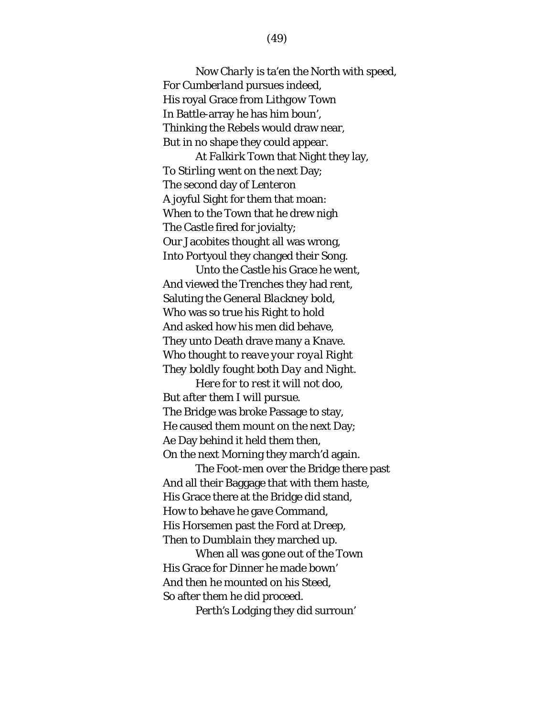Now *Charly* is ta'en the *North* with speed, For *Cumberland* pursues indeed, His royal Grace from *Lithgow* Town In Battle-array he has him boun', Thinking the Rebels would draw near, But in no shape they could appear.

At *Falkirk* Town that Night they lay, To *Stirling* went on the next Day; The second day of *Lenteron* A joyful Sight for them that moan: When to the Town that he drew nigh The Castle fired for jovialty; Our Jacobites thought all was wrong, Into Portyoul they changed their Song.

Unto the Castle his Grace he went, And viewed the Trenches they had rent, Saluting the General *Blackney* bold, Who was so true his Right to hold And asked how his men did behave, They unto Death drave many a Knave. *Who thought to reave your royal Right They boldly fought both Day and Night.*

*Here for to rest it will not doo, But after them I will pursue.*  The Bridge was broke Passage to stay, He caused them mount on the next Day; Ae Day behind it held them then, On the next Morning they march'd again.

The Foot-men over the Bridge there past And all their Baggage that with them haste, His Grace there at the Bridge did stand, How to behave he gave Command, His Horsemen past the Ford at *Dreep*, Then to *Dumblain* they marched up.

When all was gone out of the Town His Grace for Dinner he made bown' And then he mounted on his Steed, So after them he did proceed.

*Perth's* Lodging they did surroun'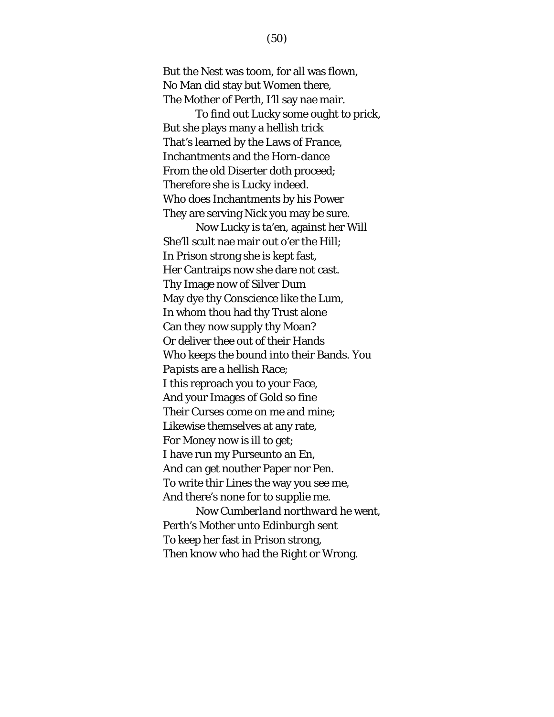But the Nest was toom, for all was flown, No Man did stay but Women there, The Mother of *Perth*, I'll say nae mair.

To find out Lucky some ought to prick, But she plays many a hellish trick That's learned by the Laws of *France*, Inchantments and the Horn-dance From the old Diserter doth proceed; Therefore she is Lucky indeed. Who does Inchantments by his Power They are serving Nick you may be sure.

Now Lucky is ta'en, against her Will She'll scult nae mair out o'er the Hill; In Prison strong she is kept fast, Her Cantraips now she dare not cast. Thy Image now of Silver Dum May dye thy Conscience like the Lum, In whom thou had thy Trust alone Can they now supply thy Moan? Or deliver thee out of their Hands Who keeps the bound into their Bands. You *Papists* are a hellish Race; I this reproach you to your Face, And your Images of Gold so fine Their Curses come on me and mine; Likewise themselves at any rate, For Money now is ill to get; I have run my Purseunto an En, And can get nouther Paper nor Pen. To write thir Lines the way you see me, And there's none for to supplie me. Now *Cumberland northward* he went, Perth's Mother unto *Edinburgh* sent To keep her fast in Prison strong,

Then know who had the Right or Wrong.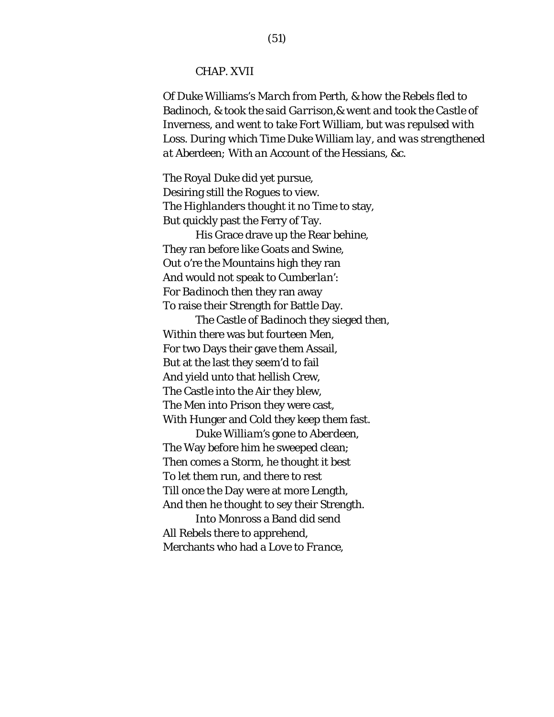### CHAP. XVII

*Of Duke* Williams's *March from* Perth*, & how the Rebels fled to*  Badinoch*, & took the said Garrison,& went and took the Castle of*  Inverness*, and went to take* Fort William*, but was repulsed with Loss. During which Time Duke* William *lay, and was strengthened at* Aberdeen*; With an Account of the* Hessians*, &c.*

The Royal Duke did yet pursue, Desiring still the Rogues to view. The *Highlanders* thought it no Time to stay, But quickly past the Ferry of Tay.

His Grace drave up the Rear behine, They ran before like Goats and Swine, Out o're the Mountains high they ran And would not speak to *Cumberlan'*: For *Badinoch* then they ran away To raise their Strength for Battle Day.

The Castle of *Badinoch* they sieged then, Within there was but fourteen Men, For two Days their gave them Assail, But at the last they seem'd to fail And yield unto that hellish Crew, The Castle into the Air they blew, The Men into Prison they were cast, With Hunger and Cold they keep them fast.

Duke *William's* gone to *Aberdeen*, The Way before him he sweeped clean; Then comes a Storm, he thought it best To let them run, and there to rest Till once the Day were at more Length, And then he thought to sey their Strength.

Into *Monross* a Band did send All Rebels there to apprehend, Merchants who had a Love to *France*,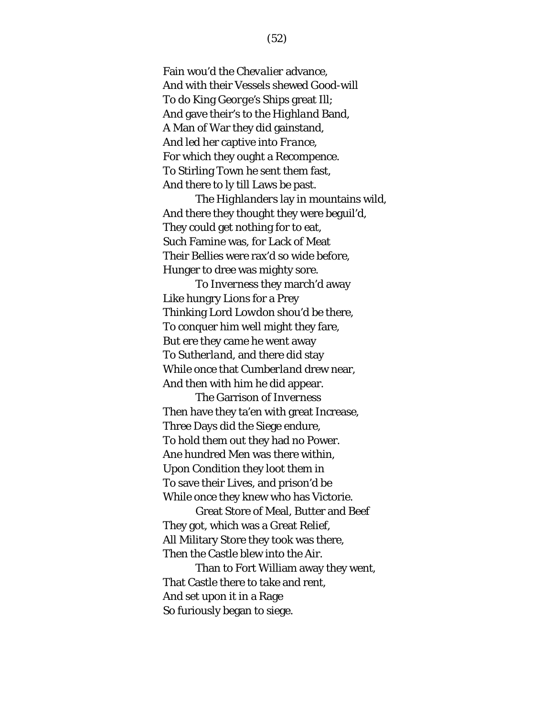Fain wou'd the *Chevalier* advance, And with their Vessels shewed Good-will To do King *George's* Ships great Ill; And gave their's to the *Highland* Band, A Man of War they did gainstand, And led her captive into *France*, For which they ought a Recompence. To Stirling Town he sent them fast, And there to ly till Laws be past.

The *Highlanders* lay in mountains wild, And there they thought they were beguil'd, They could get nothing for to eat, Such Famine was, for Lack of Meat Their Bellies were rax'd so wide before, Hunger to dree was mighty sore.

To *Inverness* they march'd away Like hungry Lions for a Prey Thinking Lord *Lowdon* shou'd be there, To conquer him well might they fare, But ere they came he went away To *Sutherland*, and there did stay While once that *Cumberland* drew near, And then with him he did appear.

The Garrison of *Inverness* Then have they ta'en with great Increase, Three Days did the Siege endure, To hold them out they had no Power. Ane hundred Men was there within, Upon Condition they loot them in To save their Lives, and prison'd be While once they knew who has Victorie.

Great Store of Meal, Butter and Beef They got, which was a Great Relief, All Military Store they took was there, Then the Castle blew into the Air.

Than to Fort William away they went, That Castle there to take and rent, And set upon it in a Rage So furiously began to siege.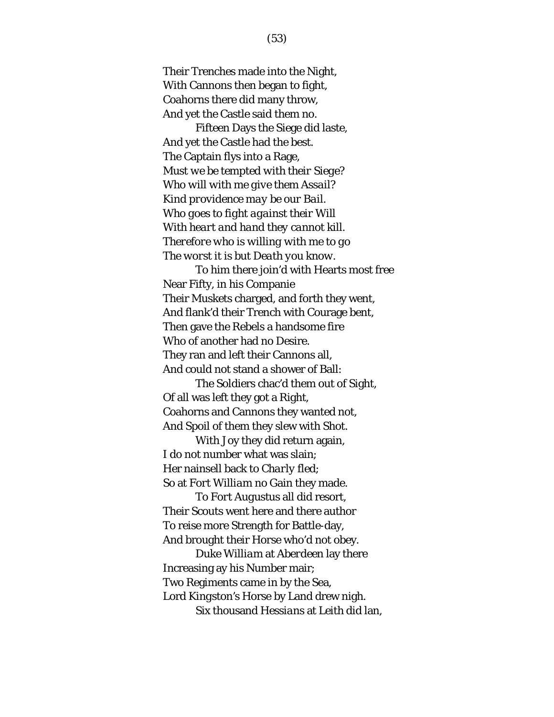Their Trenches made into the Night, With Cannons then began to fight, Coahorns there did many throw, And yet the Castle said them no.

Fifteen Days the Siege did laste, And yet the Castle had the best. The Captain flys into a Rage, *Must we be tempted with their Siege? Who will with me give them Assail? Kind providence may be our Bail. Who goes to fight against their Will With heart and hand they cannot kill. Therefore who is willing with me to go The worst it is but Death you know.*

To him there join'd with Hearts most free Near Fifty, in his Companie Their Muskets charged, and forth they went, And flank'd their Trench with Courage bent, Then gave the Rebels a handsome fire Who of another had no Desire. They ran and left their Cannons all, And could not stand a shower of Ball:

The Soldiers chac'd them out of Sight, Of all was left they got a Right, Coahorns and Cannons they wanted not, And Spoil of them they slew with Shot.

With Joy they did return again, I do not number what was slain; Her nainsell back to *Charly* fled; So at *Fort William* no Gain they made.

To *Fort Augustus* all did resort, Their Scouts went here and there author To reise more Strength for Battle-day, And brought their Horse who'd not obey.

Duke *William* at *Aberdeen* lay there Increasing ay his Number mair; Two Regiments came in by the Sea, Lord *Kingston's* Horse by Land drew nigh. Six thousand *Hessians* at *Leith* did lan,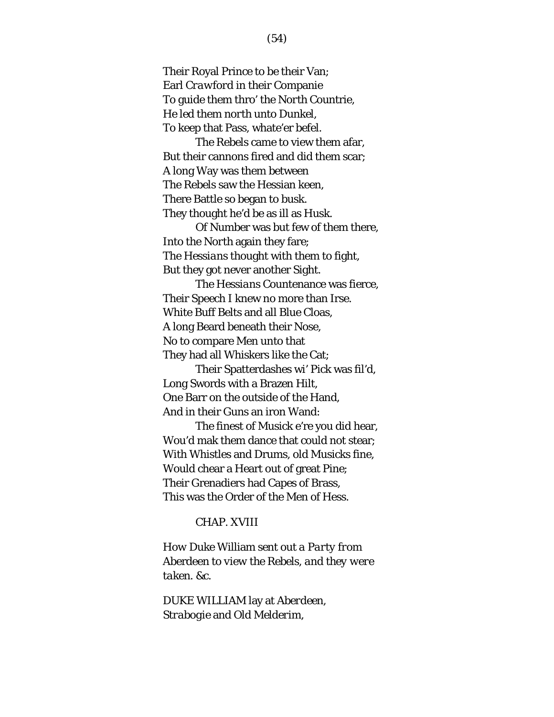Their Royal Prince to be their Van; Earl *Crawford* in their Companie To guide them thro' the *North* Countrie, He led them *north* unto *Dunkel*, To keep that Pass, whate'er befel.

The Rebels came to view them afar, But their cannons fired and did them scar; A long Way was them between The Rebels saw the Hessian keen, There Battle so began to busk. They thought he'd be as ill as *Husk*.

Of Number was but few of them there, Into the *North* again they fare; The *Hessians* thought with them to fight, But they got never another Sight.

The *Hessians* Countenance was fierce, Their Speech I knew no more than Irse. White Buff Belts and all Blue Cloas, A long Beard beneath their Nose, No to compare Men unto that They had all Whiskers like the Cat;

Their Spatterdashes wi' Pick was fil'd, Long Swords with a Brazen Hilt, One Barr on the outside of the Hand, And in their Guns an iron Wand:

The finest of Musick e're you did hear, Wou'd mak them dance that could not stear; With Whistles and Drums, old Musicks fine, Would chear a Heart out of great Pine; Their Grenadiers had Capes of Brass, This was the Order of the Men of Hess.

## CHAP. XVIII

*How Duke* William *sent out a Party from*  Aberdeen *to view the Rebels, and they were taken. &c.*

DUKE *WILLIAM* lay at *Aberdeen*, *Strabogie* and *Old Melderim*,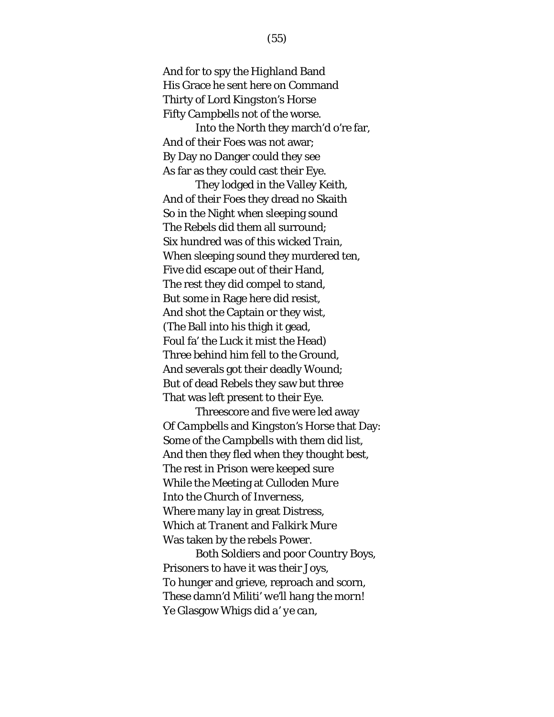And for to spy the *Highland* Band His Grace he sent here on Command Thirty of Lord *Kingston's* Horse Fifty *Campbells* not of the worse.

Into the *North* they march'd o're far, And of their Foes was not awar; By Day no Danger could they see As far as they could cast their Eye.

They lodged in the Valley *Keith*, And of their Foes they dread no Skaith So in the Night when sleeping sound The Rebels did them all surround; Six hundred was of this wicked Train, When sleeping sound they murdered ten, Five did escape out of their Hand, The rest they did compel to stand, But some in Rage here did resist, And shot the Captain or they wist, (The Ball into his thigh it gead, Foul fa' the Luck it mist the Head) Three behind him fell to the Ground, And severals got their deadly Wound; But of dead Rebels they saw but three That was left present to their Eye.

Threescore and five were led away Of *Campbells* and *Kingston's* Horse that Day: Some of the *Campbells* with them did list, And then they fled when they thought best, The rest in Prison were keeped sure While the Meeting at *Culloden Mure*  Into the Church of *Inverness*, Where many lay in great Distress, Which at *Tranent* and *Falkirk Mure*  Was taken by the rebels Power.

Both Soldiers and poor Country Boys, Prisoners to have it was their Joys, To hunger and grieve, reproach and scorn, *These damn'd Militi' we'll hang the morn! Ye* Glasgow *Whigs did a' ye can,*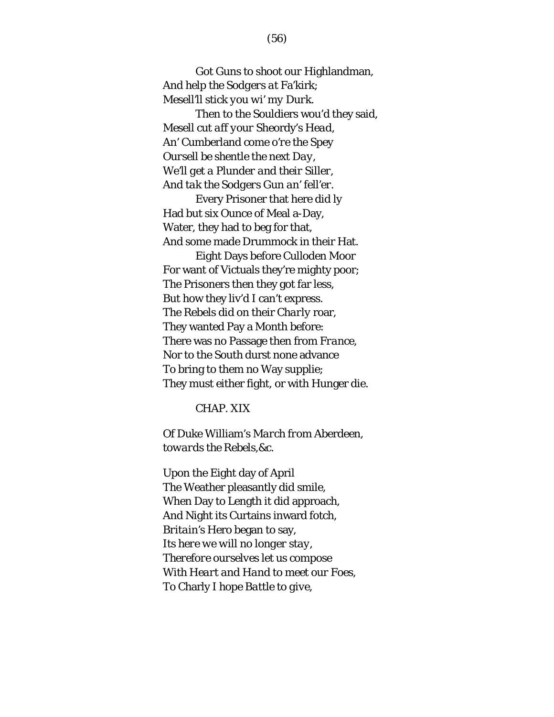*Got Guns to shoot our* Highlandman*, And help the Sodgers at* Fa'kirk*; Mesell'll stick you wi' my Durk.*

Then to the Souldiers wou'd they said, *Mesell cut aff your* Sheordy's *Head, An'* Cumberland *come o're the Spey Oursell be shentle the next Day, We'll get a Plunder and their Siller, And tak the Sodgers Gun an' fell'er*.

Every Prisoner that here did ly Had but six Ounce of Meal a-Day, Water, they had to beg for that, And some made Drummock in their Hat.

Eight Days before *Culloden Moor* For want of Victuals they're mighty poor; The Prisoners then they got far less, But how they liv'd I can't express. The Rebels did on their *Charly* roar, They wanted Pay a Month before: There was no Passage then from *France*, Nor to the *South* durst none advance To bring to them no Way supplie; They must either fight, or with Hunger die.

## CHAP. XIX

*Of Duke* William's *March from* Aberdeen*, towards the Rebels,&c.*

Upon the Eight day of April The Weather pleasantly did smile, When Day to Length it did approach, And Night its Curtains inward fotch, *Britain's* Hero began to say*, Its here we will no longer stay, Therefore ourselves let us compose With Heart and Hand to meet our Foes, To* Charly *I hope Battle to give,*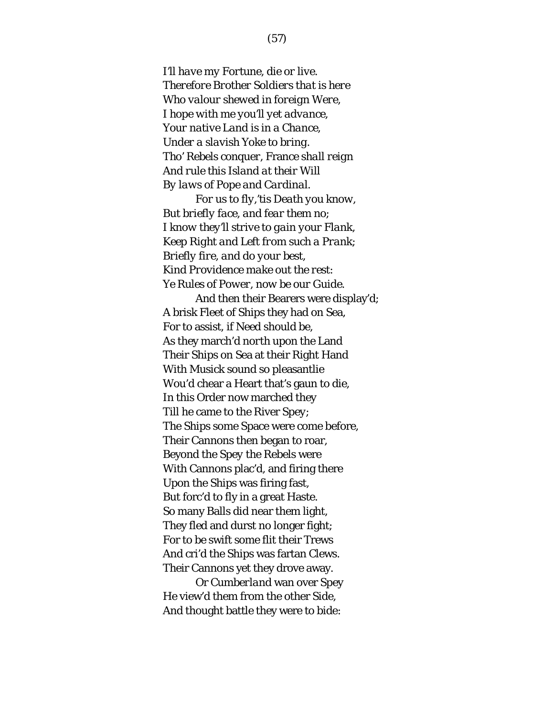*I'll have my Fortune, die or live. Therefore Brother Soldiers that is here Who valour shewed in foreign Were, I hope with me you'll yet advance, Your native Land is in a Chance, Under a slavish Yoke to bring. Tho' Rebels conquer,* France *shall reign And rule this Island at their Will By laws of Pope and Cardinal.*

*For us to fly,'tis Death you know, But briefly face, and fear them no; I know they'll strive to gain your Flank, Keep Right and Left from such a Prank; Briefly fire, and do your best, Kind Providence make out the rest: Ye Rules of Power, now be our Guide*.

And then their Bearers were display'd; A brisk Fleet of Ships they had on Sea, For to assist, if Need should be, As they march'd *north* upon the Land Their Ships on Sea at their Right Hand With Musick sound so pleasantlie Wou'd chear a Heart that's gaun to die, In this Order now marched they Till he came to the River *Spey*; The Ships some Space were come before, Their Cannons then began to roar, Beyond the *Spey* the Rebels were With Cannons plac'd, and firing there Upon the Ships was firing fast, But forc'd to fly in a great Haste. So many Balls did near them light, They fled and durst no longer fight; For to be swift some flit their Trews And cri'd the Ships was fartan Clews. Their Cannons yet they drove away.

Or *Cumberland* wan over *Spey* He view'd them from the other Side, And thought battle they were to bide: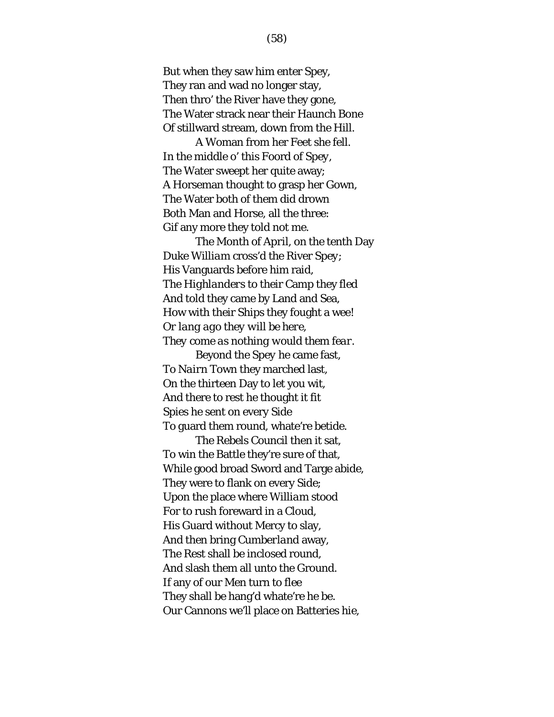But when they saw him enter Spey, They ran and wad no longer stay, Then thro' the River have they gone, The Water strack near their Haunch Bone Of stillward stream, down from the Hill.

A Woman from her Feet she fell. In the middle o' this Foord of *Spey*, The Water sweept her quite away; A Horseman thought to grasp her Gown, The Water both of them did drown Both Man and Horse, all the three: Gif any more they told not me.

The Month of *April*, on the tenth Day Duke *William* cross'd the River *Spey*; His Vanguards before him raid, The *Highlanders* to their Camp they fled And told they came by Land and Sea, How with their Ships they fought a wee! *Or lang ago they will be here, They come as nothing would them fear*.

Beyond the *Spey* he came fast, To *Nairn* Town they marched last, On the thirteen Day to let you wit, And there to rest he thought it fit Spies he sent on every Side To guard them round, whate're betide.

The Rebels Council then it sat, To win the Battle they're sure of that, While good broad Sword and Targe abide, They were to flank on every Side; Upon the place where *William* stood For to rush foreward in a Cloud, His Guard without Mercy to slay, And then bring *Cumberland* away, The Rest shall be inclosed round, And slash them all unto the Ground. If any of our Men turn to flee They shall be hang'd whate're he be. Our Cannons we'll place on Batteries hie,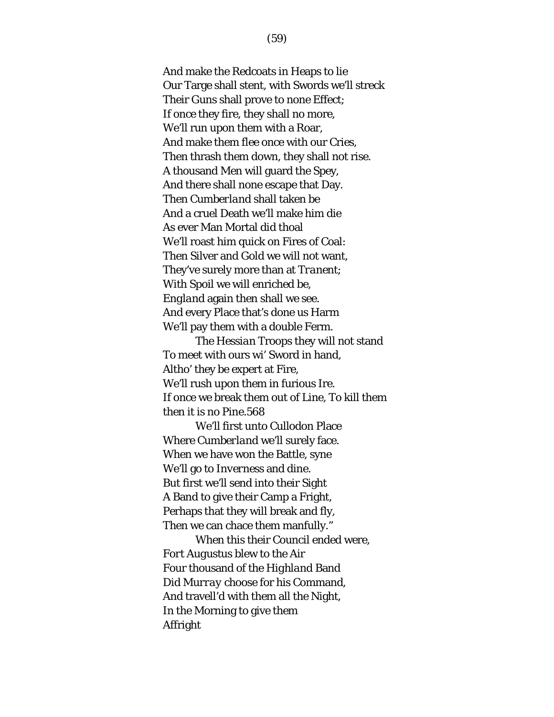And make the Redcoats in Heaps to lie Our Targe shall stent, with Swords we'll streck Their Guns shall prove to none Effect; If once they fire, they shall no more, We'll run upon them with a Roar, And make them flee once with our Cries, Then thrash them down, they shall not rise. A thousand Men will guard the Spey, And there shall none escape that Day. Then *Cumberland* shall taken be And a cruel Death we'll make him die As ever Man Mortal did thoal We'll roast him quick on Fires of Coal: Then Silver and Gold we will not want, They've surely more than at *Tranent*; With Spoil we will enriched be, *England* again then shall we see. And every Place that's done us Harm We'll pay them with a double Ferm.

The *Hessian* Troops they will not stand To meet with ours wi' Sword in hand, Altho' they be expert at Fire, We'll rush upon them in furious Ire. If once we break them out of Line, To kill them then it is no Pine.568

We'll first unto *Cullodon* Place Where *Cumberland* we'll surely face. When we have won the Battle, syne We'll go to *Inverness* and dine. But first we'll send into their Sight A Band to give their Camp a Fright, Perhaps that they will break and fly, Then we can chace them manfully."

When this their Council ended were, *Fort Augustus* blew to the Air Four thousand of the *Highland* Band Did *Murray* choose for his Command, And travell'd with them all the Night, In the Morning to give them Affright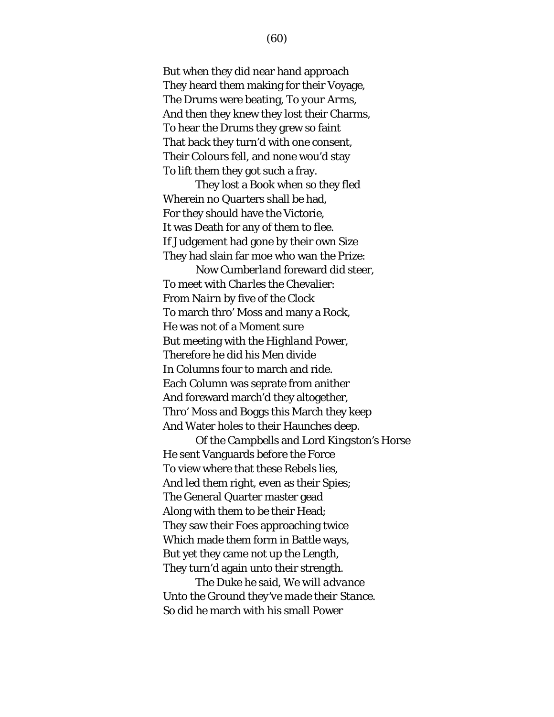But when they did near hand approach They heard them making for their Voyage, The Drums were beating, *To your Arms*, And then they knew they lost their Charms, To hear the Drums they grew so faint That back they turn'd with one consent, Their Colours fell, and none wou'd stay To lift them they got such a fray.

They lost a Book when so they fled Wherein no Quarters shall be had, For they should have the Victorie, It was Death for any of them to flee. If Judgement had gone by their own Size They had slain far moe who wan the Prize:

Now *Cumberland* foreward did steer, To meet with *Charles* the Chevalier: From *Nairn* by five of the Clock To march thro' Moss and many a Rock, He was not of a Moment sure But meeting with the *Highland* Power, Therefore he did his Men divide In Columns four to march and ride. Each Column was seprate from anither And foreward march'd they altogether, Thro' Moss and Boggs this March they keep And Water holes to their Haunches deep.

Of the *Campbells* and Lord *Kingston's* Horse He sent Vanguards before the Force To view where that these Rebels lies, And led them right, even as their Spies; The General Quarter master gead Along with them to be their Head; They saw their Foes approaching twice Which made them form in Battle ways, But yet they came not up the Length, They turn'd again unto their strength.

The Duke he said, *We will advance Unto the Ground they've made their Stance.* So did he march with his small Power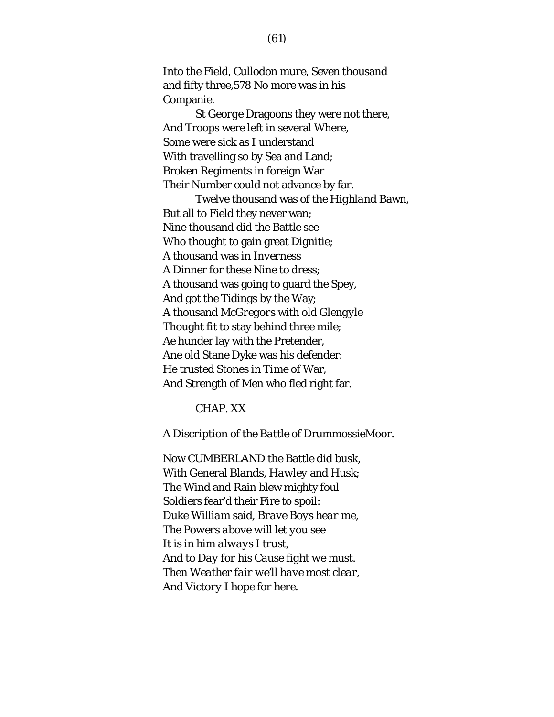Into the Field, *Cullodon mure*, Seven thousand and fifty three,578 No more was in his Companie.

*St George* Dragoons they were not there, And Troops were left in several Where, Some were sick as I understand With travelling so by Sea and Land; Broken Regiments in foreign War Their Number could not advance by far.

Twelve thousand was of the *Highland* Bawn, But all to Field they never wan; Nine thousand did the Battle see Who thought to gain great Dignitie; A thousand was in *Inverness*  A Dinner for these Nine to dress; A thousand was going to guard the Spey, And got the Tidings by the Way; A thousand *McGregors* with old *Glengyle* Thought fit to stay behind three mile; Ae hunder lay with the Pretender, Ane old Stane Dyke was his defender: He trusted Stones in Time of War, And Strength of Men who fled right far.

#### CHAP. XX

*A Discription of the Battle of* DrummossieMoor.

Now CUMBERLAND the Battle did busk, With General *Blands*, *Hawley* and *Husk*; The Wind and Rain blew mighty foul Soldiers fear'd their Fire to spoil: Duke *William* said, *Brave Boys hear me, The Powers above will let you see It is in him always I trust, And to Day for his Cause fight we must. Then Weather fair we'll have most clear, And Victory I hope for here.*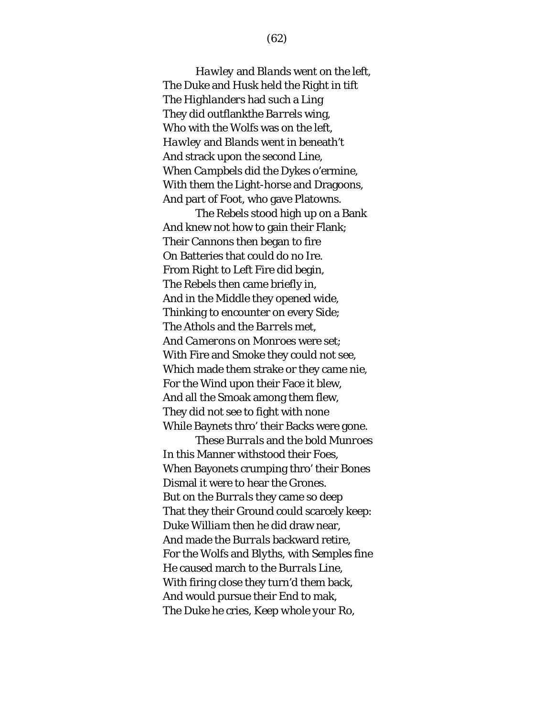*Hawley* and *Blands* went on the left, The Duke and *Husk* held the Right in tift The *Highlanders* had such a Ling They did outflankthe *Barrels* wing, Who with the Wolfs was on the left, *Hawley* and *Blands* went in beneath't And strack upon the second Line, When *Campbels* did the Dykes o'ermine, With them the Light-horse and Dragoons, And part of Foot, who gave Platowns.

The Rebels stood high up on a Bank And knew not how to gain their Flank; Their Cannons then began to fire On Batteries that could do no Ire. From Right to Left Fire did begin, The Rebels then came briefly in, And in the Middle they opened wide, Thinking to encounter on every Side; The *Athols* and the *Barrels* met, And *Camerons* on *Monroes* were set; With Fire and Smoke they could not see, Which made them strake or they came nie, For the Wind upon their Face it blew, And all the Smoak among them flew, They did not see to fight with none While Baynets thro' their Backs were gone.

These *Burrals* and the bold *Munroes* In this Manner withstood their Foes, When Bayonets crumping thro' their Bones Dismal it were to hear the Grones. But on the *Burrals* they came so deep That they their Ground could scarcely keep: Duke *William* then he did draw near, And made the *Burrals* backward retire, For the *Wolfs* and *Blyths*, with *Semples* fine He caused march to the *Burrals* Line, With firing close they turn'd them back, And would pursue their End to mak, The Duke he cries, *Keep whole your Ro,*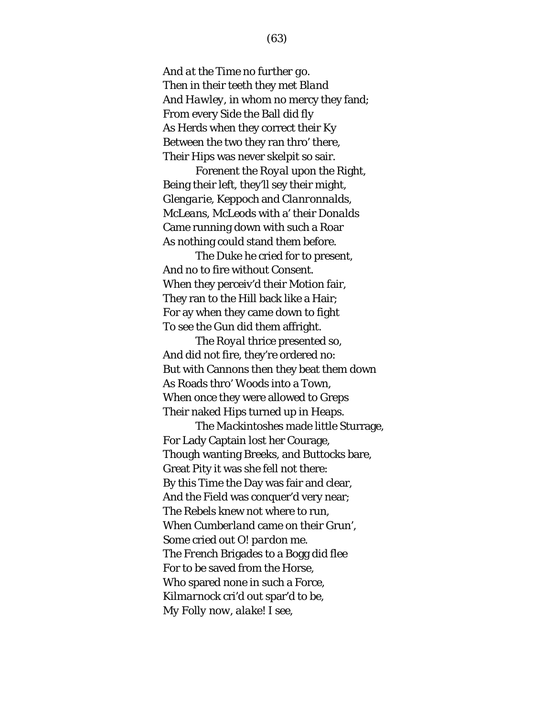*And at the Time no further go.* Then in their teeth they met *Bland* And *Hawley*, in whom no mercy they fand; From every Side the Ball did fly As Herds when they correct their Ky Between the two they ran thro' there, Their Hips was never skelpit so sair.

Forenent the *Royal* upon the Right, Being their left, they'll sey their might, *Glengarie*, *Keppoch* and *Clanronnalds*, *McLeans*, *McLeods* with a' their *Donalds* Came running down with such a Roar As nothing could stand them before.

The Duke he cried for to present, And no to fire without Consent. When they perceiv'd their Motion fair, They ran to the Hill back like a Hair; For ay when they came down to fight To see the Gun did them affright.

The *Royal* thrice presented so, And did not fire, they're ordered no: But with Cannons then they beat them down As Roads thro' Woods into a Town, When once they were allowed to Greps Their naked Hips turned up in Heaps.

The *Mackintoshes* made little Sturrage, For Lady Captain lost her Courage, Though wanting Breeks, and Buttocks bare, Great Pity it was she fell not there: By this Time the Day was fair and clear, And the Field was conquer'd very near; The Rebels knew not where to run, When *Cumberland* came on their Grun', Some cried out *O! pardon me*. The *French* Brigades to a Bogg did flee For to be saved from the Horse, Who spared none in such a Force, *Kilmarnock* cri'd out spar'd to be, *My Folly now, alake! I see*,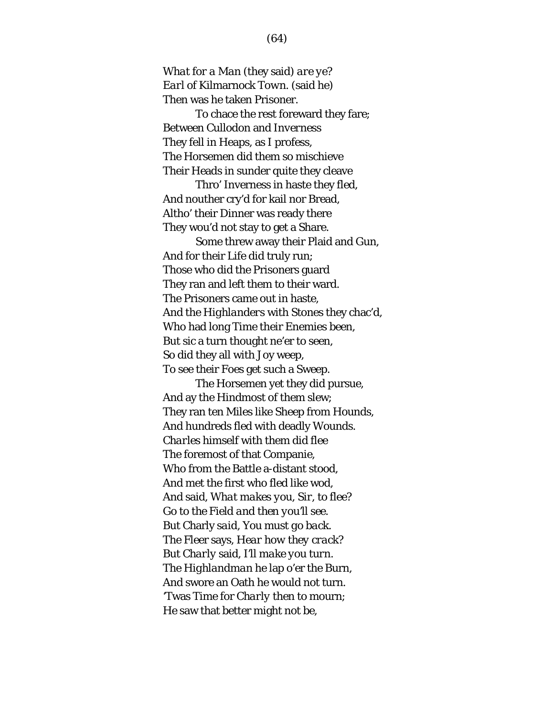*What for a Man* (they said) *are ye? Earl of* Kilmarnock *Town*. (said he) Then was he taken Prisoner.

To chace the rest foreward they fare; Between *Cullodon* and *Inverness* They fell in Heaps, as I profess, The Horsemen did them so mischieve Their Heads in sunder quite they cleave

Thro' Inverness in haste they fled, And nouther cry'd for kail nor Bread, Altho' their Dinner was ready there They wou'd not stay to get a Share.

Some threw away their Plaid and Gun, And for their Life did truly run; Those who did the Prisoners guard They ran and left them to their ward. The Prisoners came out in haste, And the *Highlanders* with Stones they chac'd, Who had long Time their Enemies been, But sic a turn thought ne'er to seen, So did they all with Joy weep, To see their Foes get such a Sweep.

The Horsemen yet they did pursue, And ay the Hindmost of them slew; They ran ten Miles like Sheep from Hounds, And hundreds fled with deadly Wounds. *Charles* himself with them did flee The foremost of that Companie, Who from the Battle a-distant stood, And met the first who fled like wod, And said, *What makes you, Sir, to flee? Go to the Field and then you'll see. But* Charly *said, You must go back.*  The Fleer says, *Hear how they crack?*  But *Charly* said, *I'll make you turn.*  The *Highlandman* he lap o'er the Burn, And swore an Oath he would not turn. 'Twas Time for *Charly* then to mourn; He saw that better might not be,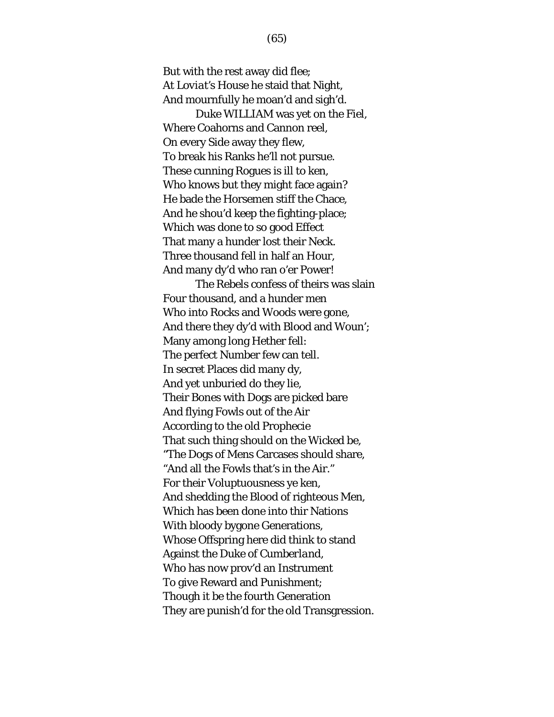But with the rest away did flee; At *Loviat's* House he staid that Night, And mournfully he moan'd and sigh'd.

Duke WILLIAM was yet on the Fiel, Where Coahorns and Cannon reel, On every Side away they flew, To break his Ranks he'll not pursue. These cunning Rogues is ill to ken, Who knows but they might face again? He bade the Horsemen stiff the Chace, And he shou'd keep the fighting-place; Which was done to so good Effect That many a hunder lost their Neck. Three thousand fell in half an Hour, And many dy'd who ran o'er Power!

The Rebels confess of theirs was slain Four thousand, and a hunder men Who into Rocks and Woods were gone, And there they dy'd with Blood and Woun'; Many among long Hether fell: The perfect Number few can tell. In secret Places did many dy, And yet unburied do they lie, Their Bones with Dogs are picked bare And flying Fowls out of the Air According to the old Prophecie That such thing should on the Wicked be, "The Dogs of Mens Carcases should share, "And all the Fowls that's in the Air." For their Voluptuousness ye ken, And shedding the Blood of righteous Men, Which has been done into thir Nations With bloody bygone Generations, Whose Offspring here did think to stand Against the Duke of *Cumberland*, Who has now prov'd an Instrument To give Reward and Punishment; Though it be the fourth Generation They are punish'd for the old Transgression.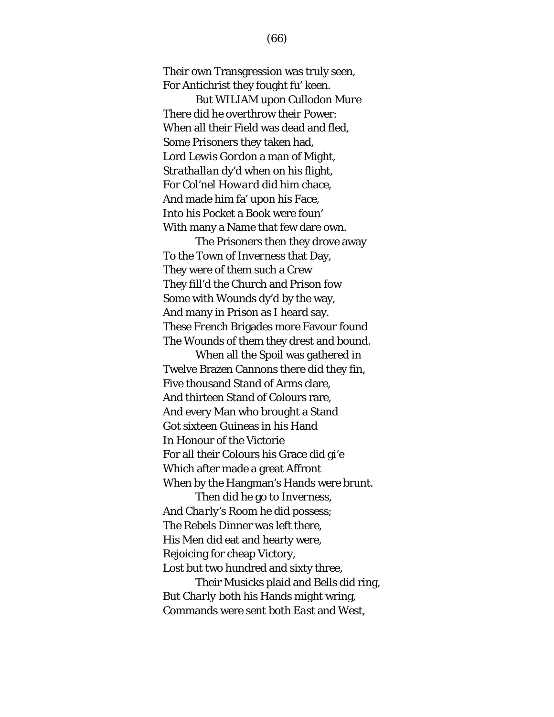Their own Transgression was truly seen, For Antichrist they fought fu' keen.

But WILIAM upon *Cullodon Mure* There did he overthrow their Power: When all their Field was dead and fled, Some Prisoners they taken had, Lord *Lewis Gord*on a man of Might, *Strathallan* dy'd when on his flight, For Col'nel *Howard* did him chace, And made him fa' upon his Face, Into his Pocket a Book were foun' With many a Name that few dare own.

The Prisoners then they drove away To the Town of *Inverness* that Day, They were of them such a Crew They fill'd the Church and Prison fow Some with Wounds dy'd by the way, And many in Prison as I heard say. These *French* Brigades more Favour found The Wounds of them they drest and bound.

When all the Spoil was gathered in Twelve Brazen Cannons there did they fin, Five thousand Stand of Arms clare, And thirteen Stand of Colours rare, And every Man who brought a Stand Got sixteen Guineas in his Hand In Honour of the Victorie For all their Colours his Grace did gi'e Which after made a great Affront When by the Hangman's Hands were brunt.

Then did he go to *Inverness*, And *Charly's* Room he did possess; The Rebels Dinner was left there, His Men did eat and hearty were, Rejoicing for cheap Victory, Lost but two hundred and sixty three,

Their Musicks plaid and Bells did ring, But *Charly* both his Hands might wring, Commands were sent both *East* and *West*,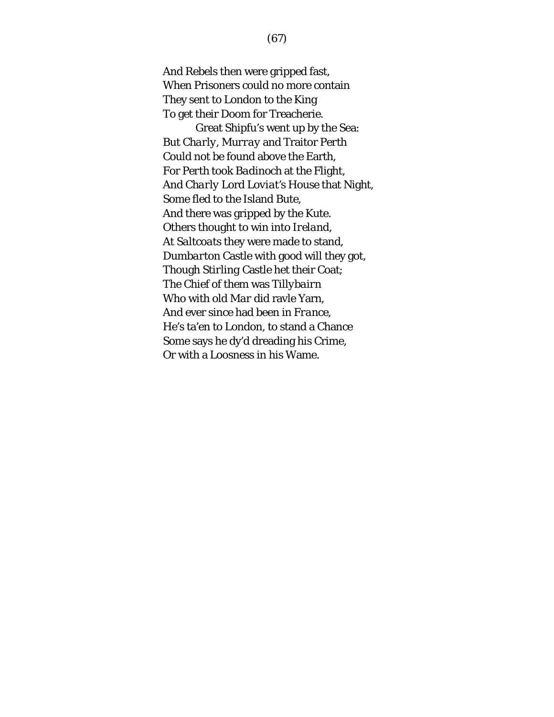And Rebels then were gripped fast, When Prisoners could no more contain They sent to *London* to the King To get their Doom for Treacherie.

Great Shipfu's went up by the Sea: But *Charly*, *Murray* and Traitor *Perth* Could not be found above the Earth, For *Perth* took *Badinoch* at the Flight, And *Charly* Lord *Loviat's* House that Night, Some fled to the Island *Bute*, And there was gripped by the Kute. Others thought to win into *Ireland*, At *Saltcoats* they were made to stand, *Dumbarton* Castle with good will they got, Though *Stirling* Castle het their Coat; The Chief of them was *Tillybairn* Who with old *Mar* did ravle Yarn, And ever since had been in *France*, He's ta'en to *London*, to stand a Chance Some says he dy'd dreading his Crime, Or with a Loosness in his Wame.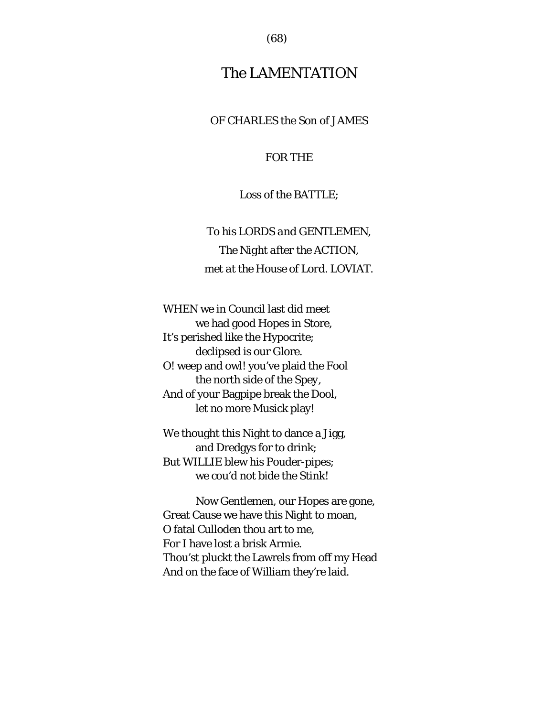(68)

# The LAMENTATION

OF CHARLES the Son of JAMES

### FOR THE

# Loss of the BATTLE;

*To his LORDS and GENTLEMEN, The Night after the* ACTION*, met at the House of Lord*. LOVIAT.

WHEN we in Council last did meet we had good Hopes in Store, It's perished like the Hypocrite; declipsed is our Glore. O! weep and owl! you've plaid the Fool the north side of the *Spey*, And of your Bagpipe break the Dool, let no more Musick play!

We thought this Night to dance a Jigg, and Dredgys for to drink; But WILLIE blew his Pouder-pipes; we cou'd not bide the Stink!

Now Gentlemen, our Hopes are gone, Great Cause we have this Night to moan, O fatal *Culloden* thou art to me, For I have lost a brisk Armie. Thou'st pluckt the Lawrels from off my Head And on the face of William they're laid.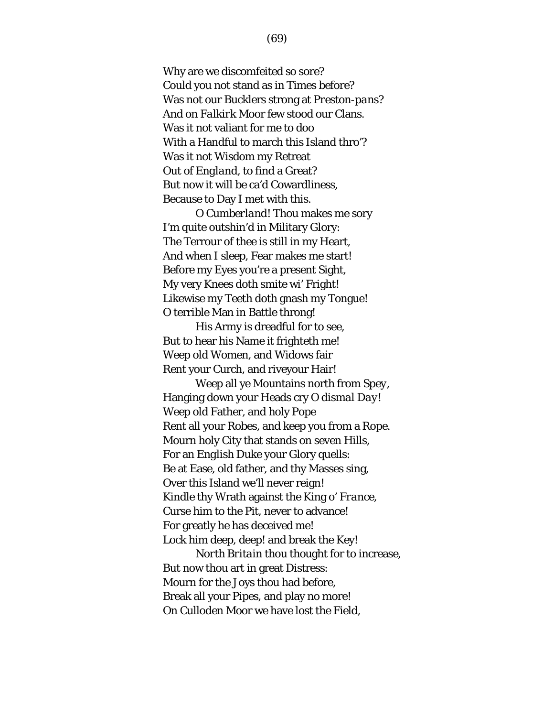Why are we discomfeited so sore? Could you not stand as in Times before? Was not our Bucklers strong at *Preston-pans*? And on *Falkirk* Moor few stood our Clans. Was it not valiant for me to doo With a Handful to march this Island thro'? Was it not Wisdom my Retreat Out of *England*, to find a Great? But now it will be ca'd Cowardliness, Because to Day I met with this.

O *Cumberland*! Thou makes me sory I'm quite outshin'd in Military Glory: The Terrour of thee is still in my Heart, And when I sleep, Fear makes me start! Before my Eyes you're a present Sight, My very Knees doth smite wi' Fright! Likewise my Teeth doth gnash my Tongue! O terrible Man in Battle throng!

His Army is dreadful for to see, But to hear his Name it frighteth me! Weep old Women, and Widows fair Rent your Curch, and riveyour Hair!

Weep all ye Mountains north from *Spey*, Hanging down your Heads cry *O dismal Day!* Weep old Father, and holy Pope Rent all your Robes, and keep you from a Rope. Mourn holy City that stands on seven Hills, For an *English* Duke your Glory quells: Be at Ease, old father, and thy Masses sing, Over this Island we'll never reign! Kindle thy Wrath against the King o' *France*, Curse him to the Pit, never to advance! For greatly he has deceived me! Lock him deep, deep! and break the Key!

*North Britain* thou thought for to increase, But now thou art in great Distress: Mourn for the Joys thou had before, Break all your Pipes, and play no more! On *Culloden* Moor we have lost the Field,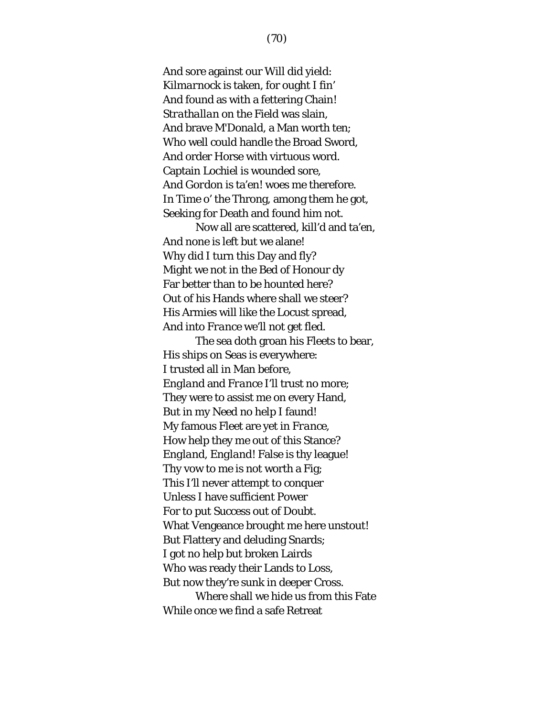And sore against our Will did yield: *Kilmarnock* is taken, for ought I fin' And found as with a fettering Chain! *Strathallan* on the Field was slain, And brave *M'Donald*, a Man worth ten; Who well could handle the Broad Sword, And order Horse with virtuous word. Captain *Lochiel* is wounded sore, And *Gordon* is ta'en! woes me therefore. In Time o' the Throng, among them he got, Seeking for Death and found him not.

Now all are scattered, kill'd and ta'en, And none is left but we alane! Why did I turn this Day and fly? Might we not in the Bed of Honour dy Far better than to be hounted here? Out of his Hands where shall we steer? His Armies will like the Locust spread, And into *France* we'll not get fled.

The sea doth groan his Fleets to bear, His ships on Seas is everywhere: I trusted all in Man before, *England* and *France* I'll trust no more; They were to assist me on every Hand, But in my Need no help I faund! My famous Fleet are yet in *France*, How help they me out of this Stance? *England, England*! False is thy league! Thy vow to me is not worth a Fig; This I'll never attempt to conquer Unless I have sufficient Power For to put Success out of Doubt. What Vengeance brought me here unstout! But Flattery and deluding Snards; I got no help but broken Lairds Who was ready their Lands to Loss, But now they're sunk in deeper Cross. Where shall we hide us from this Fate

While once we find a safe Retreat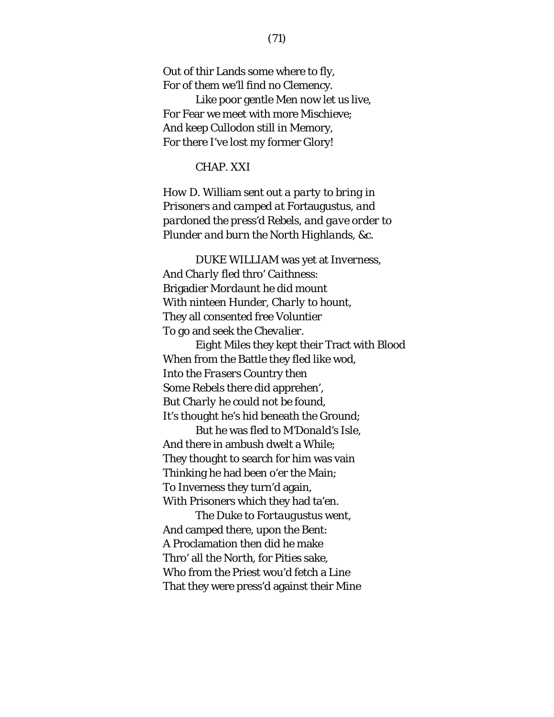Out of thir Lands some where to fly, For of them we'll find no Clemency.

Like poor gentle Men now let us live, For Fear we meet with more Mischieve; And keep *Cullodon* still in Memory, For there I've lost my former Glory!

#### CHAP. XXI

*How* D. William *sent out a party to bring in Prisoners and camped at* Fortaugustus*, and pardoned the press'd Rebels, and gave order to Plunder and burn the North Highlands, &c.*

DUKE WILLIAM was yet at *Inverness*, And *Charly* fled thro' *Caithness*: Brigadier *Mordaunt* he did mount With ninteen Hunder, *Charly* to hount, They all consented free Voluntier To go and seek the *Chevalier*.

Eight Miles they kept their Tract with Blood When from the Battle they fled like wod, Into the *Frasers* Country then Some Rebels there did apprehen', But *Charly* he could not be found, It's thought he's hid beneath the Ground; But he was fled to *M'Donald's* Isle,

And there in ambush dwelt a While; They thought to search for him was vain Thinking he had been o'er the Main; To Inverness they turn'd again, With Prisoners which they had ta'en.

The Duke to *Fortaugustus* went, And camped there, upon the Bent: A Proclamation then did he make Thro' all the *North*, for Pities sake, Who from the Priest wou'd fetch a Line That they were press'd against their Mine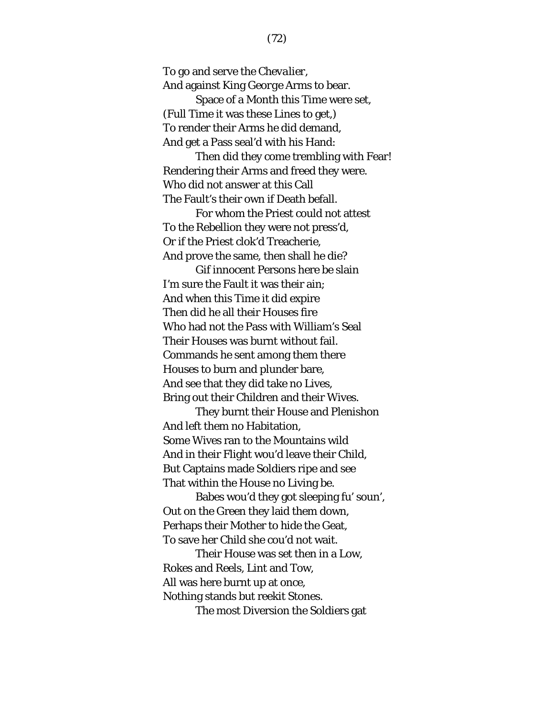To go and serve the *Chevalier*, And against King *George* Arms to bear. Space of a Month this Time were set,

(Full Time it was these Lines to get,) To render their Arms he did demand, And get a Pass seal'd with his Hand:

Then did they come trembling with Fear! Rendering their Arms and freed they were. Who did not answer at this Call The Fault's their own if Death befall.

For whom the Priest could not attest To the Rebellion they were not press'd, Or if the Priest clok'd Treacherie, And prove the same, then shall he die?

Gif innocent Persons here be slain I'm sure the Fault it was their ain; And when this Time it did expire Then did he all their Houses fire Who had not the Pass with William's Seal Their Houses was burnt without fail. Commands he sent among them there Houses to burn and plunder bare, And see that they did take no Lives, Bring out their Children and their Wives.

They burnt their House and Plenishon And left them no Habitation, Some Wives ran to the Mountains wild And in their Flight wou'd leave their Child, But Captains made Soldiers ripe and see That within the House no Living be.

Babes wou'd they got sleeping fu' soun', Out on the Green they laid them down, Perhaps their Mother to hide the Geat, To save her Child she cou'd not wait.

Their House was set then in a Low, Rokes and Reels, Lint and Tow, All was here burnt up at once, Nothing stands but reekit Stones.

The most Diversion the Soldiers gat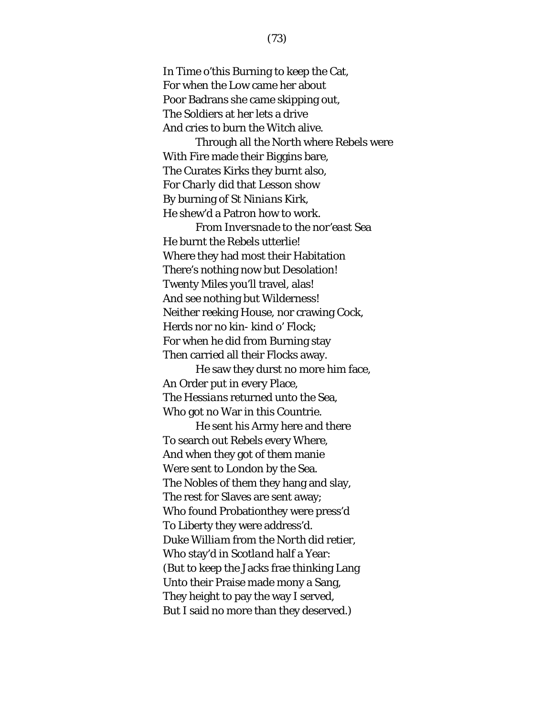In Time o'this Burning to keep the Cat, For when the Low came her about Poor Badrans she came skipping out, The Soldiers at her lets a drive And cries to burn the Witch alive.

Through all the *North* where Rebels were With Fire made their Biggins bare, The Curates Kirks they burnt also, For *Charly* did that Lesson show By burning of *St Ninians* Kirk, He shew'd a Patron how to work. From *Inversnade* to the *nor'east* Sea He burnt the Rebels utterlie!

Where they had most their Habitation There's nothing now but Desolation! Twenty Miles you'll travel, alas! And see nothing but Wilderness! Neither reeking House, nor crawing Cock, Herds nor no kin- kind o' Flock; For when he did from Burning stay Then carried all their Flocks away.

He saw they durst no more him face, An Order put in every Place, The *Hessians* returned unto the Sea, Who got no War in this Countrie.

He sent his Army here and there To search out Rebels every Where, And when they got of them manie Were sent to *London* by the Sea. The Nobles of them they hang and slay, The rest for Slaves are sent away; Who found Probationthey were press'd To Liberty they were address'd. Duke *William* from the *North* did retier, Who stay'd in *Scotland* half a Year: (But to keep the Jacks frae thinking Lang Unto their Praise made mony a Sang, They height to pay the way I served, But I said no more than they deserved.)